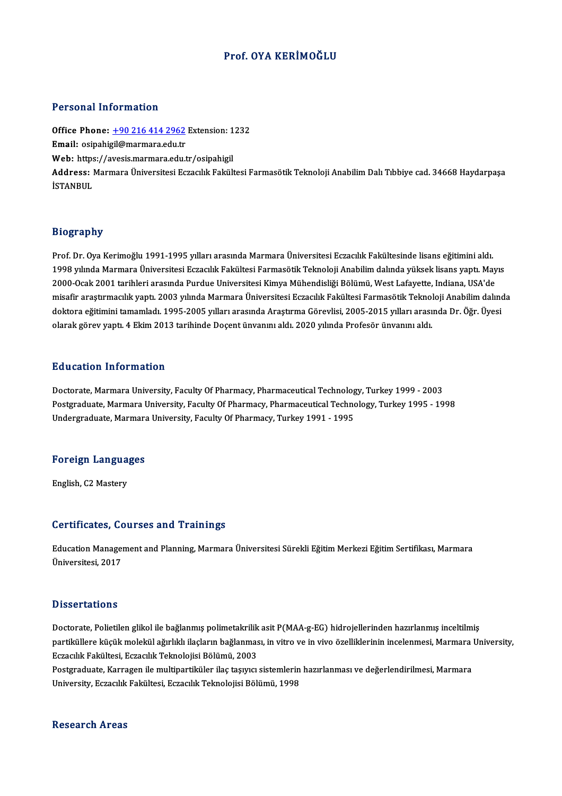## Prof. OYA KERİMOĞLU

#### Personal Information

Personal Information<br>Office Phone: <u>+90 216 414 2962</u> Extension: 1232<br>Email: esinshisil@marmara.edu.tr 1 STOOMAT INTOI MACION<br>Office Phone: <u>+90 216 414 2962</u><br>Email: osipahi[gil@marmara.edu.tr](tel:+90 216 414 2962) Office Phone: <u>+90 216 414 2962</u> Extension: 1<br>Email: osipahigil@marmara.edu.tr<br>Web: https://avesis.marmara.edu.tr/osipahigil Email: osipahigil@marmara.edu.tr<br>Web: https://avesis.marmara.edu.tr/osipahigil<br>Address: Marmara Üniversitesi Eczacılık Fakültesi Farmasötik Teknoloji Anabilim Dalı Tıbbiye cad. 34668 Haydarpaşa<br>İSTANBUL Web: https://avesis.marmara.edu.tr/osipahigil

#### Biography

Prof. Dr. Oya Kerimoğlu 1991-1995 yılları arasında Marmara Üniversitesi Eczacılık Fakültesinde lisans eğitimini aldı. 21951 up.1.<br>Prof. Dr. Oya Kerimoğlu 1991-1995 yılları arasında Marmara Üniversitesi Eczacılık Fakültesinde lisans eğitimini aldı<br>1998 yılında Marmara Üniversitesi Eczacılık Fakültesi Farmasötik Teknoloji Anabilim dalında y Prof. Dr. Oya Kerimoğlu 1991-1995 yılları arasında Marmara Üniversitesi Eczacılık Fakültesinde lisans eğitimini aldı.<br>1998 yılında Marmara Üniversitesi Eczacılık Fakültesi Farmasötik Teknoloji Anabilim dalında yüksek lisan 1998 yılında Marmara Üniversitesi Eczacılık Fakültesi Farmasötik Teknoloji Anabilim dalında yüksek lisans yaptı. Mayıs<br>2000-Ocak 2001 tarihleri arasında Purdue Universitesi Kimya Mühendisliği Bölümü, West Lafayette, Indian 2000-Ocak 2001 tarihleri arasında Purdue Universitesi Kimya Mühendisliği Bölümü, West Lafayette, Indiana, USA'de<br>misafir araştırmacılık yaptı. 2003 yılında Marmara Üniversitesi Eczacılık Fakültesi Farmasötik Teknoloji Anab olarak görev yaptı. 4 Ekim 2013 tarihinde Doçent ünvanını aldı. 2020 yılında Profesör ünvanını aldı.

### Education Information

Doctorate, Marmara University, Faculty Of Pharmacy, Pharmaceutical Technology, Turkey 1999 - 2003 Postgraduate, Marmara University, Faculty Of Pharmacy, Pharmaceutical Technology, Turkey 1995 - 1998 Undergraduate, Marmara University, Faculty Of Pharmacy, Turkey 1991 - 1995

# <sub>ondergraduate, marmara<br>Foreign Languages</sub> F<mark>oreign Langua</mark><br>English, C2 Mastery

# English, C2 Mastery<br>Certificates, Courses and Trainings

Certificates, Courses and Trainings<br>Education Management and Planning, Marmara Üniversitesi Sürekli Eğitim Merkezi Eğitim Sertifikası, Marmara<br>Üniversitesi 2017 UCT CHTCLCCS, UC<br>Education Manager<br>Üniversitesi, 2017 Üniversitesi, 2017<br>Dissertations

Dissertations<br>Doctorate, Polietilen glikol ile bağlanmış polimetakrilik asit P(MAA-g-EG) hidrojellerinden hazırlanmış inceltilmiş<br>Partiküllere küçük molekül eğırlıklı ileslerin bağlanması, in yüre ve in yüre özelliklerinin partikülere küçükmolekülere külanmış polimetakrilik asit P(MAA-g-EG) hidrojellerinden hazırlanmış inceltilmiş<br>partiküllere küçük molekül ağırlıklı ilaçların bağlanması, in vitro ve in vivo özelliklerinin incelenmesi, Marma partiküllere küçük molekül ağırlıklı ilaçların bağlanması, in vitro ve in vivo özelliklerinin incelenmesi, Marmara University,<br>Eczacılık Fakültesi, Eczacılık Teknolojisi Bölümü, 2003 partiküllere küçük molekül ağırlıklı ilaçların bağlanması, in vitro ve in vivo özelliklerinin incelenmesi, Marmara<br>Eczacılık Fakültesi, Eczacılık Teknolojisi Bölümü, 2003<br>Postgraduate, Karragen ile multipartiküler ilaç taş

Eczacılık Fakültesi, Eczacılık Teknolojisi Bölümü, 2003<br>Postgraduate, Karragen ile multipartiküler ilaç taşıyıcı sistemlerin<br>University, Eczacılık Fakültesi, Eczacılık Teknolojisi Bölümü, 1998 University, Eczacılık Fakültesi, Eczacılık Teknolojisi Bölümü, 1998<br>Research Areas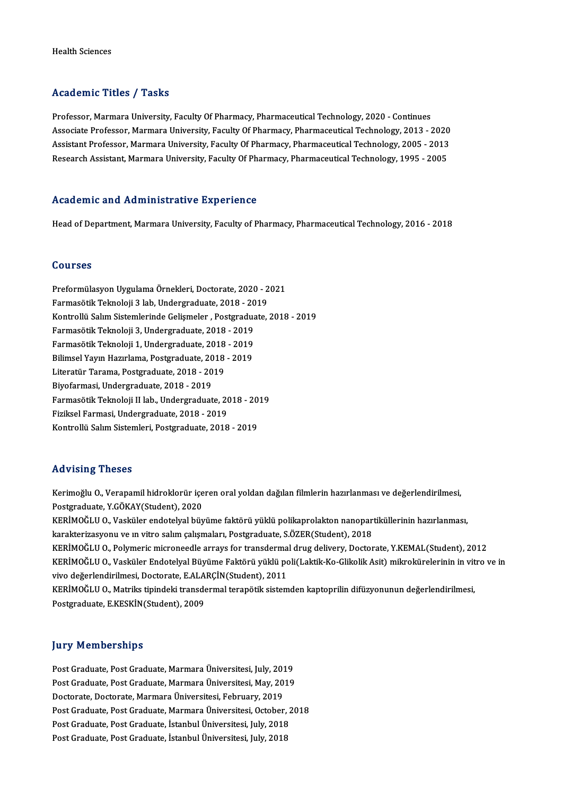#### Academic Titles / Tasks

Professor, Marmara University, Faculty Of Pharmacy, Pharmaceutical Technology, 2020 - Continues AssociateMicroforcettery Professor, Faculty Of Pharmacy, Pharmaceutical Technology, 2020 - Continues<br>Associate Professor, Marmara University, Faculty Of Pharmacy, Pharmaceutical Technology, 2013 - 2020<br>Assistant Professor, Professor, Marmara University, Faculty Of Pharmacy, Pharmaceutical Technology, 2020 - Continues<br>Associate Professor, Marmara University, Faculty Of Pharmacy, Pharmaceutical Technology, 2013 - 2020<br>Assistant Professor, Marm Associate Professor, Marmara University, Faculty Of Pharmacy, Pharmaceutical Technology, 2013 - 2020<br>Assistant Professor, Marmara University, Faculty Of Pharmacy, Pharmaceutical Technology, 2005 - 2013<br>Research Assistant, Research Assistant, Marmara University, Faculty Of Pharmacy, Pharmaceutical Technology, 1995 - 2005<br>Academic and Administrative Experience

Head of Department, Marmara University, Faculty of Pharmacy, Pharmaceutical Technology, 2016 - 2018

#### Courses

Courses<br>Preformülasyon Uygulama Örnekleri, Doctorate, 2020 - 2021<br>Farmaşötik Teknoloji 3 lab. Undergraduata, 2019 - 2019 SSA1999<br>Preformülasyon Uygulama Örnekleri, Doctorate, 2020 - 2<br>Farmasötik Teknoloji 3 lab, Undergraduate, 2018 - 2019<br>Kontrollü Selum Sistemlerinde Gelismeler - Postareduate Preformülasyon Uygulama Örnekleri, Doctorate, 2020 - 2021<br>Farmasötik Teknoloji 3 lab, Undergraduate, 2018 - 2019<br>Kontrollü Salım Sistemlerinde Gelişmeler , Postgraduate, 2018 - 2019<br>Farmasötik Teknoloji 3 Undergraduate, 20 Farmasötik Teknoloji 3 lab, Undergraduate, 2018 - 20<br>Kontrollü Salım Sistemlerinde Gelişmeler , Postgradua<br>Farmasötik Teknoloji 3, Undergraduate, 2018 - 2019<br>Farmasötik Teknoloji 1, Undergraduate, 2019 - 2019 Kontrollü Salım Sistemlerinde Gelişmeler , Postgraduat<br>Farmasötik Teknoloji 3, Undergraduate, 2018 - 2019<br>Farmasötik Teknoloji 1, Undergraduate, 2018 - 2019<br>Bilimsel Youn Horulama, Bostgraduate, 2019 - 2019 Farmasötik Teknoloji 3, Undergraduate, 2018 - 2019<br>Farmasötik Teknoloji 1, Undergraduate, 2018 - 2019<br>Bilimsel Yayın Hazırlama, Postgraduate, 2018 - 2019<br>Literatür Tarama, Postgraduate, 2018 - 2019 Farmasötik Teknoloji 1, Undergraduate, 2018<br>Bilimsel Yayın Hazırlama, Postgraduate, 2018<br>Literatür Tarama, Postgraduate, 2018 - 2019<br>Bivofarmasi, Undergraduate, 2018 - 2019 Bilimsel Yayın Hazırlama, Postgraduate, 20<br>Literatür Tarama, Postgraduate, 2018 - 20<br>Biyofarmasi, Undergraduate, 2018 - 2019<br>Farmasötik Taknalaji II lab. Undergraduat Literatür Tarama, Postgraduate, 2018 - 2019<br>Biyofarmasi, Undergraduate, 2018 - 2019<br>Farmasötik Teknoloji II lab., Undergraduate, 2018 - 2019<br>Firikaal Farmasi, Undergraduate, 2019 - 2019 Biyofarmasi, Undergraduate, 2018 - 2019<br>Farmasötik Teknoloji II lab., Undergraduate, 20<br>Fiziksel Farmasi, Undergraduate, 2018 - 2019<br>Kontrallii Selim Sistemleri, Bestanaduate, 2019 Farmasötik Teknoloji II lab., Undergraduate, 2018 - 20<br>Fiziksel Farmasi, Undergraduate, 2018 - 2019<br>Kontrollü Salım Sistemleri, Postgraduate, 2018 - 2019 Kontrollü Salım Sistemleri, Postgraduate, 2018 - 2019<br>Advising Theses

Kerimoğlu O., Verapamil hidroklorür içeren oral yoldan dağılan filmlerin hazırlanması ve değerlendirilmesi, Postgraduate,Y.GÖKAY(Student),2020 Kerimoğlu O., Verapamil hidroklorür içeren oral yoldan dağılan filmlerin hazırlanması ve değerlendirilmesi,<br>Postgraduate, Y.GÖKAY(Student), 2020<br>KERİMOĞLU O., Vasküler endotelyal büyüme faktörü yüklü polikaprolakton nanopa

Postgraduate, Y.GÖKAY(Student), 2020<br>KERİMOĞLU O., Vasküler endotelyal büyüme faktörü yüklü polikaprolakton nanopar<br>karakterizasyonu ve ın vitro salım çalışmaları, Postgraduate, S.ÖZER(Student), 2018<br>KERİMOĞLU O. Bolymoris KERİMOĞLU O., Vasküler endotelyal büyüme faktörü yüklü polikaprolakton nanopartiküllerinin hazırlanması,<br>karakterizasyonu ve ın vitro salım çalışmaları, Postgraduate, S.ÖZER(Student), 2018<br>KERİMOĞLU O., Polymeric microneed

karakterizasyonu ve ın vitro salım çalışmaları, Postgraduate, S.ÖZER(Student), 2018<br>KERİMOĞLU O., Polymeric microneedle arrays for transdermal drug delivery, Doctorate, Y.KEMAL(Student), 2012<br>KERİMOĞLU O., Vasküler Endotel KERİMOĞLU O., Polymeric microneedle arrays for transdermal drug delivery, Doctorate, Y.KEMAL(Student), 2012<br>KERİMOĞLU O., Vasküler Endotelyal Büyüme Faktörü yüklü poli(Laktik-Ko-Glikolik Asit) mikrokürelerinin in vitro<br>viv KERİMOĞLU O., Vasküler Endotelyal Büyüme Faktörü yüklü poli(Laktik-Ko-Glikolik Asit) mikrokürelerinin in vit<br>vivo değerlendirilmesi, Doctorate, E.ALARÇİN(Student), 2011<br>KERİMOĞLU O., Matriks tipindeki transdermal terapötik

Postgraduate, E.KESKİN(Student), 2009

#### **Jury Memberships**

Jury Memberships<br>Post Graduate, Post Graduate, Marmara Üniversitesi, July, 2019<br>Post Craduate, Post Craduate, Marmara Üniversitesi, May, 2019 Post Graduate, Post Graduate, Marmara Üniversitesi, May, 2019<br>Doctorate, Doctorate, Marmara Üniversitesi, February, 2019 Post Graduate, Post Graduate, Marmara Üniversitesi, July, 201<br>Post Graduate, Post Graduate, Marmara Üniversitesi, May, 20<br>Doctorate, Doctorate, Marmara Üniversitesi, February, 2019<br>Post Craduate, Post Craduate, Marmara Üni Post Graduate, Post Graduate, Marmara Üniversitesi, May, 2019<br>Doctorate, Doctorate, Marmara Üniversitesi, February, 2019<br>Post Graduate, Post Graduate, Marmara Üniversitesi, October, 2018<br>Post Craduate, Post Craduate, İstan Doctorate, Doctorate, Marmara Üniversitesi, February, 2019<br>Post Graduate, Post Graduate, Marmara Üniversitesi, October, 2<br>Post Graduate, Post Graduate, İstanbul Üniversitesi, July, 2018<br>Post Craduate, Post Craduate, İstanb Post Graduate, Post Graduate, İstanbul Üniversitesi, July, 2018<br>Post Graduate, Post Graduate, İstanbul Üniversitesi, July, 2018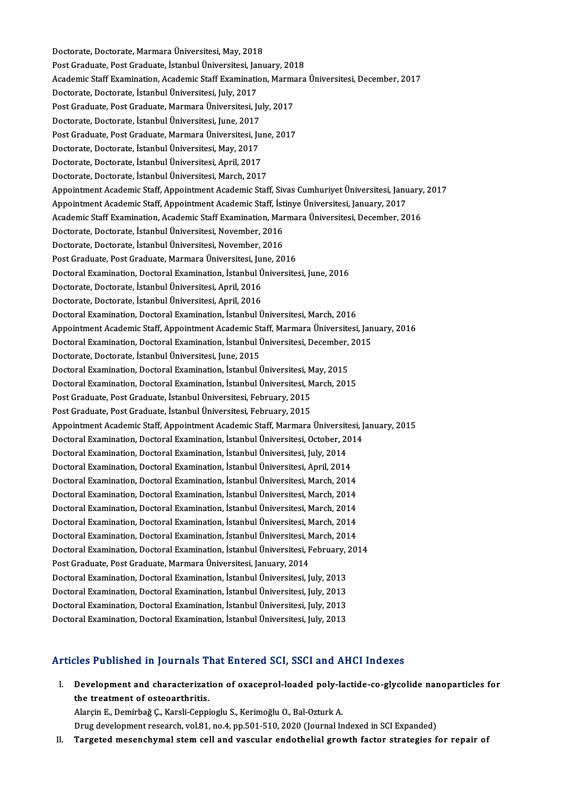Doctorate, Doctorate, Marmara Üniversitesi, May, 2018 Post Graduate, Post Graduate, İstanbul Üniversitesi, January, 2018 Doctorate, Doctorate, Marmara Üniversitesi, May, 2018<br>Post Graduate, Post Graduate, İstanbul Üniversitesi, January, 2018<br>Academic Staff Examination, Academic Staff Examination, Marmara Üniversitesi, December, 2017<br>Pesterat Post Graduate, Post Graduate, İstanbul Üniversitesi, Jai<br>Academic Staff Examination, Academic Staff Examination<br>Doctorate, Doctorate, İstanbul Üniversitesi, July, 2017<br>Post Craduate, Bost Craduate, Marmara Üniversitesi, J Academic Staff Examination, Academic Staff Examination, Marma<br>Doctorate, Doctorate, İstanbul Üniversitesi, July, 2017<br>Post Graduate, Post Graduate, Marmara Üniversitesi, July, 2017<br>Postorate, Dostorate, İstanbul Üniversite Doctorate, Doctorate, İstanbul Üniversitesi, July, 2017<br>Post Graduate, Post Graduate, Marmara Üniversitesi, July, 2017<br>Doctorate, Doctorate, İstanbul Üniversitesi, June, 2017 Post Graduate, Post Graduate, Marmara Üniversitesi, July, 2017<br>Doctorate, Doctorate, İstanbul Üniversitesi, June, 2017<br>Post Graduate, Post Graduate, Marmara Üniversitesi, June, 2017<br>Postorate, Dostorate, İstanbul Üniversit Doctorate, Doctorate, İstanbul Üniversitesi, June, 2017<br>Post Graduate, Post Graduate, Marmara Üniversitesi, Ju<br>Doctorate, Doctorate, İstanbul Üniversitesi, May, 2017<br>Postorate, Dostorate, İstanbul Üniversitesi, April, 2017 Post Graduate, Post Graduate, Marmara Üniversitesi, Jul<br>Doctorate, Doctorate, İstanbul Üniversitesi, May, 2017<br>Doctorate, Doctorate, İstanbul Üniversitesi, April, 2017<br>Doctorate, Doctorate, İstanbul Üniversitesi, Marsh, 20 Doctorate, Doctorate, İstanbul Üniversitesi, May, 2017<br>Doctorate, Doctorate, İstanbul Üniversitesi, April, 2017<br>Doctorate, Doctorate, İstanbul Üniversitesi, March, 2017 Doctorate, Doctorate, İstanbul Üniversitesi, April, 2017<br>Doctorate, Doctorate, İstanbul Üniversitesi, March, 2017<br>Appointment Academic Staff, Appointment Academic Staff, Sivas Cumhuriyet Üniversitesi, January, 2017<br>Appoint Doctorate, Doctorate, İstanbul Üniversitesi, March, 2017<br>Appointment Academic Staff, Appointment Academic Staff, Sivas Cumhuriyet Üniversitesi, Janu<br>Appointment Academic Staff, Appointment Academic Staff, İstinye Üniversit Appointment Academic Staff, Appointment Academic Staff, Sivas Cumhuriyet Üniversitesi, January, 2017<br>Appointment Academic Staff, Appointment Academic Staff, İstinye Üniversitesi, January, 2017<br>Academic Staff Examination, A Appointment Academic Staff, Appointment Academic Staff, İstinye Üniversitesi, January, 2017<br>Academic Staff Examination, Academic Staff Examination, Marmara Üniversitesi, December, 2016<br>Doctorate, Doctorate, İstanbul Üniver Academic Staff Examination, Academic Staff Examination, Mar<br>Doctorate, Doctorate, İstanbul Üniversitesi, November, 2016<br>Doctorate, Doctorate, İstanbul Üniversitesi, November, 2016<br>Post Craduate, Post Craduate, Marmare Üniv Doctorate, Doctorate, İstanbul Üniversitesi, November, 2016<br>Doctorate, Doctorate, İstanbul Üniversitesi, November, 2016<br>Post Graduate, Post Graduate, Marmara Üniversitesi, June, 2016<br>Doctoral Examination, Doctoral Examinat Doctorate, Doctorate, İstanbul Üniversitesi, November, 2016<br>Post Graduate, Post Graduate, Marmara Üniversitesi, June, 2016<br>Doctoral Examination, Doctoral Examination, İstanbul Üniversitesi, June, 2016<br>Postorate, Dostorate, Post Graduate, Post Graduate, Marmara Üniversitesi, Jui<br>Doctoral Examination, Doctoral Examination, İstanbul Ü<br>Doctorate, Doctorate, İstanbul Üniversitesi, April, 2016<br>Doctorate, Doctorate, İstanbul Üniversitesi, April, 20 Doctoral Examination, Doctoral Examination, İstanbul Ü<br>Doctorate, Doctorate, İstanbul Üniversitesi, April, 2016<br>Doctorate, Doctorate, İstanbul Üniversitesi, April, 2016<br>Doctoral Examination, Doctoral Examination, İstanbul Doctorate, Doctorate, İstanbul Üniversitesi, April, 2016<br>Doctorate, Doctorate, İstanbul Üniversitesi, April, 2016<br>Doctoral Examination, Doctoral Examination, İstanbul Üniversitesi, March, 2016 Doctorate, Doctorate, İstanbul Üniversitesi, April, 2016<br>Doctoral Examination, Doctoral Examination, İstanbul Üniversitesi, March, 2016<br>Appointment Academic Staff, Appointment Academic Staff, Marmara Üniversitesi, January, Doctoral Examination, Doctoral Examination, İstanbul Üniversitesi, March, 2016<br>Appointment Academic Staff, Appointment Academic Staff, Marmara Üniversitesi, Jan<br>Doctoral Examination, Doctoral Examination, İstanbul Üniversi Appointment Academic Staff, Appointment Academic St<br>Doctoral Examination, Doctoral Examination, İstanbul İ<br>Doctorate, Doctorate, İstanbul Üniversitesi, June, 2015<br>Doctoral Examination, Doctoral Examination, İstanbul İ Doctoral Examination, Doctoral Examination, İstanbul Üniversitesi, December,<br>Doctorate, Doctorate, İstanbul Üniversitesi, June, 2015<br>Doctoral Examination, Doctoral Examination, İstanbul Üniversitesi, May, 2015<br>Doctoral Exa Doctorate, Doctorate, İstanbul Üniversitesi, June, 2015<br>Doctoral Examination, Doctoral Examination, İstanbul Üniversitesi, May, 2015<br>Doctoral Examination, Doctoral Examination, İstanbul Üniversitesi, March, 2015<br>Post Cradu Doctoral Examination, Doctoral Examination, İstanbul Üniversitesi, M<br>Doctoral Examination, Doctoral Examination, İstanbul Üniversitesi, M<br>Post Graduate, Post Graduate, İstanbul Üniversitesi, February, 2015<br>Post Craduate, P Doctoral Examination, Doctoral Examination, İstanbul Üniversitesi, March, 2015<br>Post Graduate, Post Graduate, İstanbul Üniversitesi, February, 2015<br>Post Graduate, Post Graduate, İstanbul Üniversitesi, February, 2015 Appointment Academic Staff, Appointment Academic Staff, Marmara Üniversitesi, January, 2015 Post Graduate, Post Graduate, İstanbul Üniversitesi, February, 2015<br>Appointment Academic Staff, Appointment Academic Staff, Marmara Üniversitesi, J<br>Doctoral Examination, Doctoral Examination, İstanbul Üniversitesi, October Appointment Academic Staff, Appointment Academic Staff, Marmara Üniversite<br>Doctoral Examination, Doctoral Examination, İstanbul Üniversitesi, October, 20<br>Doctoral Examination, Doctoral Examination, İstanbul Üniversitesi, J Doctoral Examination, Doctoral Examination, İstanbul Üniversitesi, October, 20<br>Doctoral Examination, Doctoral Examination, İstanbul Üniversitesi, July, 2014<br>Doctoral Examination, Doctoral Examination, İstanbul Üniversitesi Doctoral Examination, Doctoral Examination, İstanbul Üniversitesi, July, 2014<br>Doctoral Examination, Doctoral Examination, İstanbul Üniversitesi, April, 2014<br>Doctoral Examination, Doctoral Examination, İstanbul Üniversitesi Doctoral Examination, Doctoral Examination, İstanbul Üniversitesi, April, 2014<br>Doctoral Examination, Doctoral Examination, İstanbul Üniversitesi, March, 2014<br>Doctoral Examination, Doctoral Examination, İstanbul Üniversites Doctoral Examination, Doctoral Examination, İstanbul Üniversitesi, March, 2014<br>Doctoral Examination, Doctoral Examination, İstanbul Üniversitesi, March, 2014<br>Doctoral Examination, Doctoral Examination, İstanbul Üniversites Doctoral Examination, Doctoral Examination, İstanbul Üniversitesi, March, 2014<br>Doctoral Examination, Doctoral Examination, İstanbul Üniversitesi, March, 2014<br>Doctoral Examination, Doctoral Examination, İstanbul Üniversites Doctoral Examination, Doctoral Examination, İstanbul Üniversitesi, March, 2014<br>Doctoral Examination, Doctoral Examination, İstanbul Üniversitesi, March, 2014<br>Doctoral Examination, Doctoral Examination, İstanbul Üniversites Doctoral Examination, Doctoral Examination, İstanbul Üniversitesi, March, 2014<br>Doctoral Examination, Doctoral Examination, İstanbul Üniversitesi, March, 2014<br>Doctoral Examination, Doctoral Examination, İstanbul Üniversites Doctoral Examination, Doctoral Examination, İstanbul Üniversitesi, N<br>Doctoral Examination, Doctoral Examination, İstanbul Üniversitesi, F<br>Post Graduate, Post Graduate, Marmara Üniversitesi, January, 2014<br>Doctoral Examinati Doctoral Examination, Doctoral Examination, İstanbul Üniversitesi, February, 2014<br>Post Graduate, Post Graduate, Marmara Üniversitesi, January, 2014<br>Doctoral Examination, Doctoral Examination, İstanbul Üniversitesi, July, 2 Post Graduate, Post Graduate, Marmara Üniversitesi, January, 2014<br>Doctoral Examination, Doctoral Examination, İstanbul Üniversitesi, July, 2013<br>Doctoral Examination, Doctoral Examination, İstanbul Üniversitesi, July, 2013<br> Doctoral Examination, Doctoral Examination, İstanbul Üniversitesi, July, 2013<br>Doctoral Examination, Doctoral Examination, İstanbul Üniversitesi, July, 2013<br>Doctoral Examination, Doctoral Examination, İstanbul Üniversitesi, Doctoral Examination, Doctoral Examination, İstanbul Üniversitesi, July, 2013<br>Doctoral Examination, Doctoral Examination, İstanbul Üniversitesi, July, 2013<br>Doctoral Examination, Doctoral Examination, İstanbul Üniversitesi,

# Doctoral Examination, Doctoral Examination, İstanbul Üniversitesi, July, 2013<br>Articles Published in Journals That Entered SCI, SSCI and AHCI Indexes

rticles Published in Journals That Entered SCI, SSCI and AHCI Indexes<br>I. Development and characterization of oxaceprol-loaded poly-lactide-co-glycolide nanoparticles for<br>the treatment of estacenthritic the treatment and characterizat.<br>the treatment of osteoarthritis.<br>Alargin E. Dominha c. C. Karoli Conni Development and characterization of oxaceprol-loaded poly-la<br>the treatment of osteoarthritis.<br>Alarçin E., Demirbağ Ç., Karsli-Ceppioglu S., Kerimoğlu O., Bal-Ozturk A.<br>Drug development ressarsh vol 81 no 4 np 501 510 2020

the treatment of osteoarthritis.<br>Alarçin E., Demirbağ Ç., Karsli-Ceppioglu S., Kerimoğlu O., Bal-Ozturk A.<br>Drug development research, vol.81, no.4, pp.501-510, 2020 (Journal Indexed in SCI Expanded)<br>Tengeted mesenghumal st Alarçin E., Demirbağ Ç., Karsli-Ceppioglu S., Kerimoğlu O., Bal-Ozturk A.<br>Drug development research, vol.81, no.4, pp.501-510, 2020 (Journal Indexed in SCI Expanded)<br>II. Targeted mesenchymal stem cell and vascular endo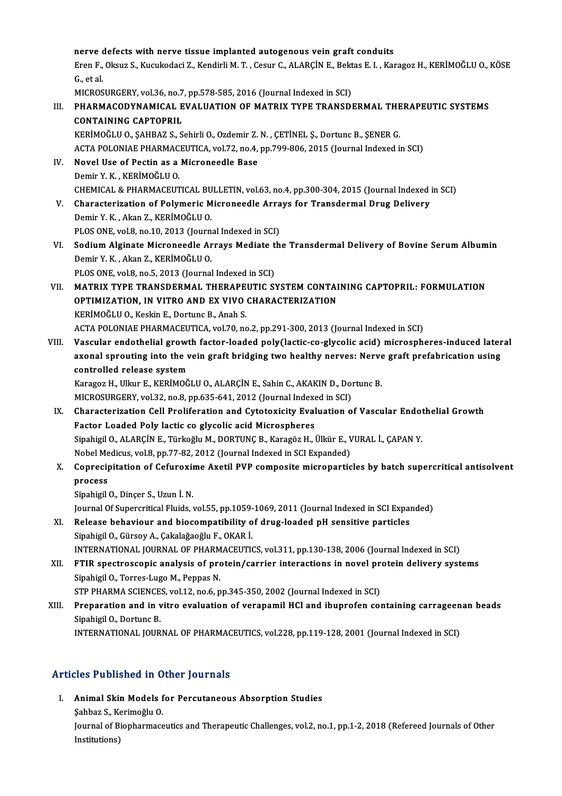nerve defects with nerve tissue implanted autogenous vein graft conduits<br>Enen E. Okayn S. Kugukadasi Z. Kondinli M. T. Ceaur C. ALADCIN E. Pektee E. L. Kei

nerve defects with nerve tissue implanted autogenous vein graft conduits<br>Eren F., Oksuz S., Kucukodaci Z., Kendirli M. T. , Cesur C., ALARÇİN E., Bektas E. I. , Karagoz H., KERİMOĞLU O., KÖSE nerve d<br>Eren F.,<br>G., et al.<br>MICPOS Eren F., Oksuz S., Kucukodaci Z., Kendirli M. T. , Cesur C., ALARÇİN E., Bekt<br>G., et al.<br>MICROSURGERY, vol.36, no.7, pp.578-585, 2016 (Journal Indexed in SCI)<br>PHAPMACODYNAMICAL EVALUATION OF MATRIY TYPE TRANSDI

MICROSURGERY, vol.36, no.7, pp.578-585, 2016 (Journal Indexed in SCI)

# G., et al.<br>MICROSURGERY, vol.36, no.7, pp.578-585, 2016 (Journal Indexed in SCI)<br>III. PHARMACODYNAMICAL EVALUATION OF MATRIX TYPE TRANSDERMAL THERAPEUTIC SYSTEMS<br>CONTAINING CAPTOPRIL

KERİMOĞLU O., ŞAHBAZ S., Sehirli O., Ozdemir Z. N., ÇETİNEL Ş., Dortunc B., ŞENER G. CONTAINING CAPTOPRIL<br>KERİMOĞLU O., ŞAHBAZ S., Sehirli O., Ozdemir Z. N. , ÇETİNEL Ş., Dortunc B., ŞENER G.<br>ACTA POLONIAE PHARMACEUTICA, vol.72, no.4, pp.799-806, 2015 (Journal Indexed in SCI)<br>Novel Use of Bestin as a Misro

- IV. Novel Use of Pectin as a Microneedle Base<br>Demir Y. K. . KERİMOĞLU 0. ACTA POLONIAE PHARMAC<br>Novel Use of Pectin as a<br>Demir Y.K. , KERİMOĞLU O.<br>CHEMICAL & BHARMACELIT Novel Use of Pectin as a Microneedle Base<br>Demir Y. K. , KERİMOĞLU O.<br>CHEMICAL & PHARMACEUTICAL BULLETIN, vol.63, no.4, pp.300-304, 2015 (Journal Indexed in SCI)<br>Characterization of Pelumenia Microneedle Arreys for Transdor
- V. Characterization of Polymeric Microneedle Arrays for Transdermal Drug Delivery<br>Demir Y. K., Akan Z., KERİMOĞLU O. CHEMICAL & PHARMACEUTICAL BU<br>Characterization of Polymeric M<br>Demir Y.K., Akan Z., KERİMOĞLU O.<br>BLOS ONE val 9 no 10,2012 (Journ Characterization of Polymeric Microneedle Arra<br>Demir Y. K., Akan Z., KERİMOĞLU O.<br>PLOS ONE, vol.8, no.10, 2013 (Journal Indexed in SCI)<br>Sedium Alginate Microneedle Arraye Mediate th
- Demir Y. K. , Akan Z., KERİMOĞLU O.<br>PLOS ONE, vol.8, no.10, 2013 (Journal Indexed in SCI)<br>VI. Sodium Alginate Microneedle Arrays Mediate the Transdermal Delivery of Bovine Serum Albumin<br>Demin V. K., Alson Z. KERİMOĞLU O. PLOS ONE, vol.8, no.10, 2013 (Journ<br>Sodium Alginate Microneedle Ar<br>Demir Y. K. , Akan Z., KERİMOĞLU O.<br>BLOS ONE vol.8 no.5, 2012 (Journal Sodium Alginate Microneedle Arrays Mediate t<br>Demir Y. K. , Akan Z., KERİMOĞLU O.<br>PLOS ONE, vol.8, no.5, 2013 (Journal Indexed in SCI)<br>MATRIX TYRE TRANSDERMAL THERAREUTIC SY
	-
- Demir Y. K. , Akan Z., KERİMOĞLU O.<br>PLOS ONE, vol.8, no.5, 2013 (Journal Indexed in SCI)<br>VII. MATRIX TYPE TRANSDERMAL THERAPEUTIC SYSTEM CONTAINING CAPTOPRIL: FORMULATION<br>OPTIMIZATION, IN VITRO AND EX VIVO CHARACTERIZA PLOS ONE, vol.8, no.5, 2013 (Journal Indexed in SCI)<br>MATRIX TYPE TRANSDERMAL THERAPEUTIC SYSTEM CONTAI<br>OPTIMIZATION, IN VITRO AND EX VIVO CHARACTERIZATION<br>KERIMOČI U.O. Keekin E. Dertune B. Aneb S OPTIMIZATION, IN VITRO AND EX VIVO CHARACTERIZATION<br>KERİMOĞLU O., Keskin E., Dortunc B., Anah S.

ACTAPOLONIAEPHARMACEUTICA,vol.70,no.2,pp.291-300,2013 (Journal Indexed inSCI)

VIII. Vascular endothelial growth factor-loaded poly(lactic-co-glycolic acid) microspheres-induced lateral ACTA POLONIAE PHARMACEUTICA, vol.70, no.2, pp.291-300, 2013 (Journal Indexed in SCI)<br>Vascular endothelial growth factor-loaded poly(lactic-co-glycolic acid) microspheres-induced later<br>axonal sprouting into the vein graft b Vascular endothelial growt<br>axonal sprouting into the v<br>controlled release system<br><sup>Varagor H.</sup> Ullar F. KERIMOČ axonal sprouting into the vein graft bridging two healthy nerves: Nerve<br>controlled release system<br>Karagoz H., Ulkur E., KERİMOĞLU O., ALARÇİN E., Sahin C., AKAKIN D., Dortunc B.<br>MICROSURCERY val 32 no 8 np 625 644 2012 (Jo

controlled release system<br>Karagoz H., Ulkur E., KERİMOĞLU O., ALARÇİN E., Sahin C., AKAKIN D., Doı<br>MICROSURGERY, vol.32, no.8, pp.635-641, 2012 (Journal Indexed in SCI)<br>Characterization Cell Preliferation and Cutaterisity

MICROSURGERY, vol.32, no.8, pp.635-641, 2012 (Journal Indexed in SCI)

- IX. Characterization Cell Proliferation and Cytotoxicity Evaluation of Vascular Endothelial Growth<br>Factor Loaded Poly lactic co glycolic acid Microspheres Characterization Cell Proliferation and Cytotoxicity Evaluation of Vascular Endot<br>Factor Loaded Poly lactic co glycolic acid Microspheres<br>Sipahigil O., ALARÇİN E., Türkoğlu M., DORTUNÇ B., Karagöz H., Ülkür E., VURAL İ., Ç Factor Loaded Poly lactic co glycolic acid Microspheres<br>Sipahigil O., ALARÇİN E., Türkoğlu M., DORTUNÇ B., Karagöz H., Ülkür E., V<br>Nobel Medicus, vol.8, pp.77-82, 2012 (Journal Indexed in SCI Expanded)<br>Conrecipitation of C Sipahigil O., ALARÇİN E., Türkoğlu M., DORTUNÇ B., Karagöz H., Ülkür E., VURAL İ., ÇAPAN Y.<br>Nobel Medicus, vol.8, pp.77-82, 2012 (Journal Indexed in SCI Expanded)<br>X. Coprecipitation of Cefuroxime Axetil PVP composite m
- Nobel Medicus, vol.8, pp.77-82, 2012 (Journal Indexed in SCI Expanded)<br>Coprecipitation of Cefuroxime Axetil PVP composite micropartic<br>process<br>Sipahigil O., Dinçer S., Uzun İ. N. Coprecipitation of Cefuroxii<br>process<br>Sipahigil O., Dinçer S., Uzun İ. N.<br>Journal Of Supersritisal Eluide process<br>Sipahigil O., Dinçer S., Uzun İ. N.<br>Journal Of Supercritical Fluids, vol.55, pp.1059-1069, 2011 (Journal Indexed in SCI Expanded)<br>Relasse behevieur and biosemnatibility of duus leeded nH sensitive particles.
	-

- Sipahigil O., Dinçer S., Uzun İ. N.<br>Journal Of Supercritical Fluids, vol.55, pp.1059-1069, 2011 (Journal Indexed in SCI Expansitive particles<br>XI. Release behaviour and biocompatibility of drug-loaded pH sensitive particles Journal Of Supercritical Fluids, vol.55, pp.1059-<br>Release behaviour and biocompatibility o<br>Sipahigil O., Gürsoy A., Çakalağaoğlu F., OKAR İ.<br>INTERNATIONAL JOURNAL OF PHARMACEUTIO XI. Release behaviour and biocompatibility of drug-loaded pH sensitive particles<br>Sipahigil O., Gürsoy A., Çakalağaoğlu F., OKAR İ.<br>INTERNATIONAL JOURNAL OF PHARMACEUTICS, vol.311, pp.130-138, 2006 (Journal Indexed in SCI) Sipahigil O., Gürsoy A., Çakalağaoğlu F., OKAR İ.<br>INTERNATIONAL JOURNAL OF PHARMACEUTICS, vol.311, pp.130-138, 2006 (Journal Indexed in SCI)<br>XII. FTIR spectroscopic analysis of protein/carrier interactions in novel protein
- INTERNATIONAL JOURNAL OF PHARM<br>FTIR spectroscopic analysis of proximation, The Sipahigil O., Torres-Lugo M., Peppas N. FTIR spectroscopic analysis of protein/carrier interactions in novel pro<br>Sipahigil O., Torres-Lugo M., Peppas N.<br>STP PHARMA SCIENCES, vol.12, no.6, pp.345-350, 2002 (Journal Indexed in SCI)<br>Preparation and in vitre evaluat
- Sipahigil O., Torres-Lugo M., Peppas N.<br>STP PHARMA SCIENCES, vol.12, no.6, pp.345-350, 2002 (Journal Indexed in SCI)<br>XIII. Preparation and in vitro evaluation of verapamil HCl and ibuprofen containing carrageenan beads<br>Sin STP PHARMA SCIENCE<br>Preparation and in v<br>Sipahigil O., Dortunc B.<br>INTERNATIONAL JOUR Preparation and in vitro evaluation of verapamil HCl and ibuprofen containing carrageen<br>Sipahigil O., Dortunc B.<br>INTERNATIONAL JOURNAL OF PHARMACEUTICS, vol.228, pp.119-128, 2001 (Journal Indexed in SCI) INTERNATIONAL JOURNAL OF PHARMACEUTICS, vol.228, pp.119-128, 2001 (Journal Indexed in SCI)<br>Articles Published in Other Journals

rticles Published in Other Journals<br>I. Animal Skin Models for Percutaneous Absorption Studies<br>Sabbar S. Karimežlu O Animal Skin Models<br>Animal Skin Models<br>Sahbaz S., Kerimoğlu O.<br>Journal of Bionharmage Animal Skin Models for Percutaneous Absorption Studies<br>Şahbaz S., Kerimoğlu O.<br>Journal of Biopharmaceutics and Therapeutic Challenges, vol.2, no.1, pp.1-2, 2018 (Refereed Journals of Other<br>Institutione) Şahbaz S., Ke<br>Journal of B<br>Institutions)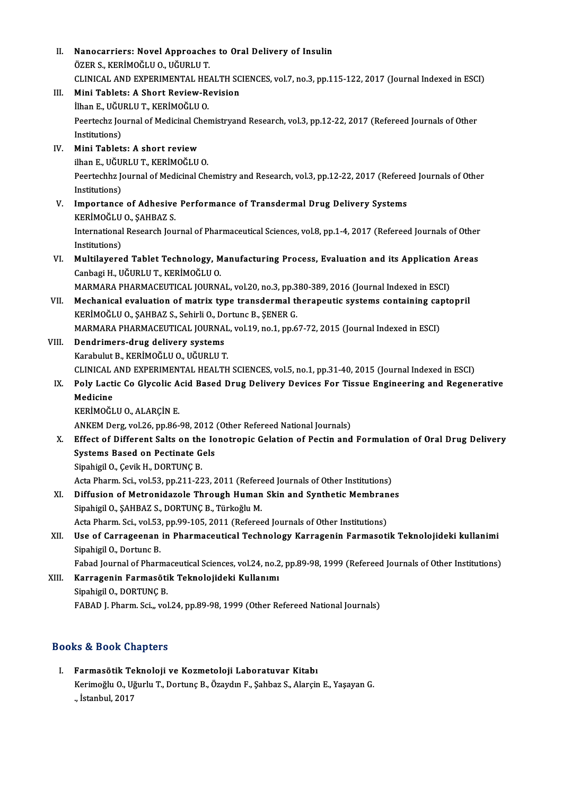II. Nanocarriers: Novel Approaches to Oral Delivery of Insulin<br>ÖZER S. KERİMOČLU O. UĞURLU T Nanocarriers: Novel Approache<br>ÖZER S., KERİMOĞLU O., UĞURLU T.<br>CLINICAL AND EXPERIMENTAL HE Nanocarriers: Novel Approaches to Oral Delivery of Insulin<br>ÖZER S., KERİMOĞLU O., UĞURLU T.<br>CLINICAL AND EXPERIMENTAL HEALTH SCIENCES, vol.7, no.3, pp.115-122, 2017 (Journal Indexed in ESCI)<br>Mini Teblets: A Shart Boview, B ÖZER S., KERİMOĞLU O., UĞURLU T.<br>CLINICAL AND EXPERIMENTAL HEALTH SC<br>III. Mini Tablets: A Short Review-Revision<br>İlhan E., UĞURLU T., KERİMOĞLU O. CLINICAL AND EXPERIMENTAL HE.<br>Mini Tablets: A Short Review-Re<br>İlhan E., UĞURLU T., KERİMOĞLU O.<br>Beertechz Journal of Medicinal Cher Mini Tablets: A Short Review-Revision<br>İlhan E., UĞURLU T., KERİMOĞLU O.<br>Peertechz Journal of Medicinal Chemistryand Research, vol.3, pp.12-22, 2017 (Refereed Journals of Other<br>Institutions) İlhan E., UĞU<br>Peertechz Jou<br>Institutions)<br>Mini Tablat Peertechz Journal of Medicinal C<br>Institutions)<br>IV. Mini Tablets: A short review<br>ilhon E UČUPLUT VERIMOČLU Institutions)<br>IV. **Mini Tablets: A short review**<br>ilhan E., UĞURLU T., KERİMOĞLU O. Mini Tablets: A short review<br>ilhan E., UĞURLU T., KERİMOĞLU O.<br>Peertechhz Journal of Medicinal Chemistry and Research, vol.3, pp.12-22, 2017 (Refereed Journals of Other<br>Institutions) ilhan E., UĞU<br>Peertechhz Jo<br>Institutions)<br>Importance Peertechhz Journal of Medicinal Chemistry and Research, vol.3, pp.12-22, 2017 (Refered<br>Institutions)<br>V. Importance of Adhesive Performance of Transdermal Drug Delivery Systems<br>VERIMOČIJIO, SAHRAZ S Institutions)<br>V. Importance of Adhesive Performance of Transdermal Drug Delivery Systems<br>KERİMOĞLU O., ŞAHBAZ S. Importance of Adhesive Performance of Transdermal Drug Delivery Systems<br>KERİMOĞLU 0., ŞAHBAZ S.<br>International Research Journal of Pharmaceutical Sciences, vol.8, pp.1-4, 2017 (Refereed Journals of Other<br>Institutions) KERİMOĞLU<br>International<br>Institutions)<br>Multilovere International Research Journal of Pharmaceutical Sciences, vol.8, pp.1-4, 2017 (Refereed Journals of Other<br>Institutions)<br>VI. Multilayered Tablet Technology, Manufacturing Process, Evaluation and its Application Areas<br>Conha Institutions)<br>VI. Multilayered Tablet Technology, Manufacturing Process, Evaluation and its Application Areas<br>Canbagi H., UĞURLU T., KERİMOĞLU O. Multilayered Tablet Technology, Manufacturing Process, Evaluation and its Application<br>Canbagi H., UĞURLU T., KERİMOĞLU O.<br>MARMARA PHARMACEUTICAL JOURNAL, vol.20, no.3, pp.380-389, 2016 (Journal Indexed in ESCI)<br>Mechanical Canbagi H., UĞURLU T., KERİMOĞLU O.<br>MARMARA PHARMACEUTICAL JOURNAL, vol.20, no.3, pp.380-389, 2016 (Journal Indexed in ESCI)<br>VII. Mechanical evaluation of matrix type transdermal therapeutic systems containing captopril<br>VE MARMARA PHARMACEUTICAL JOURNAL, vol.20, no.3, pp.3<br>Mechanical evaluation of matrix type transdermal the<br>KERİMOĞLU O., ŞAHBAZ S., Sehirli O., Dortunc B., ŞENER G.<br>MARMARA PHARMACEUTICAL JOURNAL vol.19, no.1, nn.6 Mechanical evaluation of matrix type transdermal therapeutic systems containing caj<br>KERİMOĞLU O., ŞAHBAZ S., Sehirli O., Dortunc B., ŞENER G.<br>MARMARA PHARMACEUTICAL JOURNAL, vol.19, no.1, pp.67-72, 2015 (Journal Indexed in KERİMOĞLU O., ŞAHBAZ S., Sehirli O., Dortunc B., ŞENER G.<br>MARMARA PHARMACEUTICAL JOURNAL, vol.19, no.1, pp.67-72, 2015 (Journal Indexed in ESCI)<br>VIII. Dendrimers-drug delivery systems Karabulut B., KERİMOĞLU O., UĞURLU T. Dendrimers-drug delivery systems<br>Karabulut B., KERİMOĞLU O., UĞURLU T.<br>CLINICAL AND EXPERIMENTAL HEALTH SCIENCES, vol.5, no.1, pp.31-40, 2015 (Journal Indexed in ESCI)<br>Poly Lastis Co Clysolis Asid Pased Drug Dolivery Dovis Karabulut B., KERİMOĞLU O., UĞURLU T.<br>CLINICAL AND EXPERIMENTAL HEALTH SCIENCES, vol.5, no.1, pp.31-40, 2015 (Journal Indexed in ESCI)<br>IX. Poly Lactic Co Glycolic Acid Based Drug Delivery Devices For Tissue Engineering CLINICAL<br>Poly Lact<br>Medicine<br>EPRIMOČI Poly Lactic Co Glycolic A<br>Medicine<br>KERİMOĞLU O., ALARÇİN E.<br>ANKEM DATS VOL26 nn 86. Medicine<br>KERİMOĞLU O., ALARÇİN E.<br>ANKEM Derg, vol.26, pp.86-98, 2012 (Other Refereed National Journals) KERİMOĞLU O., ALARÇİN E.<br>ANKEM Derg, vol.26, pp.86-98, 2012 (Other Refereed National Journals)<br>X. Effect of Different Salts on the Ionotropic Gelation of Pectin and Formulation of Oral Drug Delivery<br>Systems Based on Bestin ANKEM Derg, vol.26, pp.86-98, 2012<br>Effect of Different Salts on the Io<br>Systems Based on Pectinate Gels<br>Sinabigl O. Cavil: H. DOPTING P Effect of Different Salts on the<br>Systems Based on Pectinate G<br>Sipahigil O., Çevik H., DORTUNÇ B.<br>Agta Bhanm Sai, vol 53, nn 311, 33 Systems Based on Pectinate Gels<br>Sipahigil O., Çevik H., DORTUNÇ B.<br>Acta Pharm. Sci., vol.53, pp.211-223, 2011 (Refereed Journals of Other Institutions)<br>Diffusion of Metropidagele Through Human Skin and Synthetic Membrane Sipahigil O., Çevik H., DORTUNÇ B.<br>Acta Pharm. Sci., vol.53, pp.211-223, 2011 (Refereed Journals of Other Institutions)<br>XI. Diffusion of Metronidazole Through Human Skin and Synthetic Membranes<br>Sinabigil O. SAHRAZ S. DORTU Acta Pharm. Sci., vol.53, pp.211-223, 2011 (Refere<br>Diffusion of Metronidazole Through Human<br>Sipahigil O., ŞAHBAZ S., DORTUNÇ B., Türkoğlu M.<br>Asta Pharm. Ssi. vol.53. pp.99.105.2011 (Referee Diffusion of Metronidazole Through Human Skin and Synthetic Membran<br>Sipahigil O., ŞAHBAZ S., DORTUNÇ B., Türkoğlu M.<br>Acta Pharm. Sci., vol.53, pp.99-105, 2011 (Refereed Journals of Other Institutions)<br>Hae of Carrageonan in Sipahigil O., ŞAHBAZ S., DORTUNÇ B., Türkoğlu M.<br>Acta Pharm. Sci., vol.53, pp.99-105, 2011 (Refereed Journals of Other Institutions)<br>XII. Use of Carrageenan in Pharmaceutical Technology Karragenin Farmasotik Teknolojideki Acta Pharm. Sci., vol.53, pp.99-105, 2011 (Refereed Journals of Other Institutions) Use of Carrageenan in Pharmaceutical Technology Karragenin Farmasotik Teknolojideki kullanimi<br>Sipahigil O., Dortunc B.<br>Fabad Journal of Pharmaceutical Sciences, vol.24, no.2, pp.89-98, 1999 (Refereed Journals of Other Inst XIII. Karragenin Farmasötik Teknolojideki Kullanımı<br>Sipahigil O., DORTUNÇ B. Fabad Journal of Pharma<br><mark>Karragenin Farmasöti</mark><br>Sipahigil O., DORTUNÇ B.<br>FARAD I. Pharm. Sci., vol FABAD J. Pharm. Sci.,, vol.24, pp.89-98, 1999 (Other Refereed National Journals)

## Books&Book Chapters

I. Farmasötik Teknoloji ve Kozmetoloji Laboratuvar Kitabı kə & Bəəsk Ənaptoru<br>Farmasötik Teknoloji ve Kozmetoloji Laboratuvar Kitabı<br>Kerimoğlu O., Uğurlu T., Dortunç B., Özaydın F., Şahbaz S., Alarçin E., Yaşayan G.<br>İstanbul 2017 F<mark>armasõtik Te</mark><br>Kerimoğlu O., U<sub>l</sub><br>., İstanbul, 2017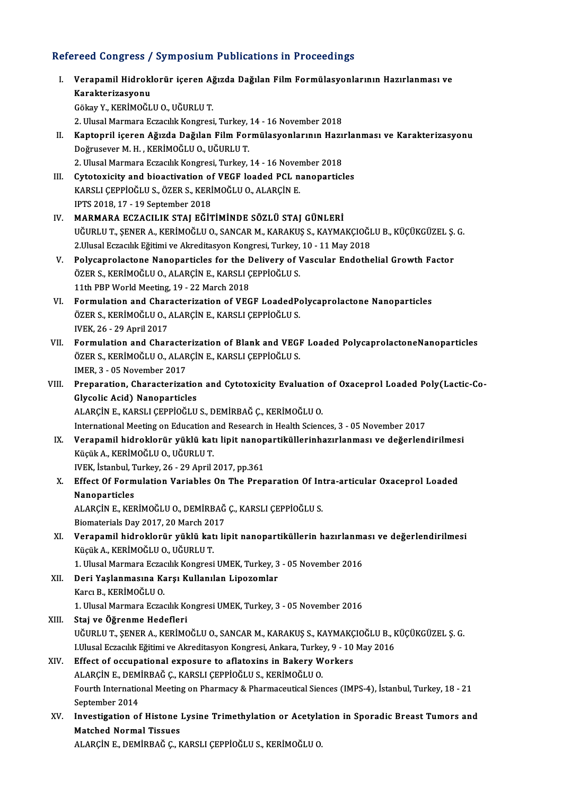## Refereed Congress / Symposium Publications in Proceedings

efereed Congress / Symposium Publications in Proceedings<br>I. Verapamil Hidroklorür içeren Ağızda Dağılan Film Formülasyonlarının Hazırlanması ve<br>Kanaktarizayyanı rood dongrood<br>Verapamil Hidrokl<br>Karakterizasyonu Karakterizasyonu<br>Gökay Y., KERİMOĞLU O., UĞURLU T. 2. Ulusal Marmara Eczacılık Kongresi, Turkey, 14 - 16 November 2018 Gökay Y., KERİMOĞLU O., UĞURLU T.<br>2. Ulusal Marmara Eczacılık Kongresi, Turkey, 14 - 16 November 2018<br>II. Kaptopril içeren Ağızda Dağılan Film Formülasyonlarının Hazırlanması ve Karakterizasyonu<br>Değmişeyon M. H., KERİM 2. Ulusal Marmara Eczacılık Kongresi, Turkey,<br>Kaptopril içeren Ağızda Dağılan Film For<br>Doğrusever M. H. , KERİMOĞLU O., UĞURLU T.<br>2. Ulusel Marmara Eszasılık Konsresi, Turkey. Kaptopril içeren Ağızda Dağılan Film Formülasyonlarının Hazı:<br>Doğrusever M. H. , KERİMOĞLU O., UĞURLU T.<br>2. Ulusal Marmara Eczacılık Kongresi, Turkey, 14 - 16 November 2018<br>Cytotovisity and bioastivation of VECE laadad PCL Doğrusever M. H. , KERİMOĞLU O., UĞURLU T.<br>2. Ulusal Marmara Eczacılık Kongresi, Turkey, 14 - 16 November 2018<br>III. Cytotoxicity and bioactivation of VEGF loaded PCL nanoparticles 2. Ulusal Marmara Eczacılık Kongresi, Turkey, 14 - 16 Nover<br>Cytotoxicity and bioactivation of VEGF loaded PCL n<br>KARSLI ÇEPPİOĞLU S., ÖZER S., KERİMOĞLU O., ALARÇİN E.<br>IPTS 2019-17 - 19 Santambar 2019 Cytotoxicity and bioactivation of<br>KARSLI ÇEPPİOĞLU S., ÖZER S., KERİ<br>IPTS 2018, 17 - 19 September 2018<br>MARMARA EGZACU IK STAL EĞİT IV. MARMARA ECZACILIK STAJ EĞİTİMİNDE SÖZLÜ STAJ GÜNLERİ IPTS 2018, 17 - 19 September 2018<br>MARMARA ECZACILIK STAJ EĞİTİMİNDE SÖZLÜ STAJ GÜNLERİ<br>UĞURLU T., ŞENER A., KERİMOĞLU O., SANCAR M., KARAKUŞ S., KAYMAKÇIOĞLU B., KÜÇÜKGÜZEL Ş. G.<br>2 Husal Eszacılık Eğitimi ve Alxaditasyan K MARMARA ECZACILIK STAJ EĞİTİMİNDE SÖZLÜ STAJ GÜNLERİ<br>UĞURLU T., ŞENER A., KERİMOĞLU O., SANCAR M., KARAKUŞ S., KAYMAKÇIOĞI<br>2.Ulusal Eczacılık Eğitimi ve Akreditasyon Kongresi, Turkey, 10 - 11 May 2018<br>Polyganrolastana Nano UĞURLU T., ŞENER A., KERİMOĞLU O., SANCAR M., KARAKUŞ S., KAYMAKÇIOĞLU B., KÜÇÜKGÜZEL Ş.<br>2.Ulusal Eczacılık Eğitimi ve Akreditasyon Kongresi, Turkey, 10 - 11 May 2018<br>V. Polycaprolactone Nanoparticles for the Delivery of V 2.Ulusal Eczacılık Eğitimi ve Akreditasyon Kongresi, Turkey, 10 - 11 May 2018<br>
V. Polycaprolactone Nanoparticles for the Delivery of Vascular Endothelial Growth Factor<br>
ÖZER S., KERİMOĞLU O., ALARÇİN E., KARSLI ÇEPPİOĞLU S ÖZER S., KERİMOĞLU O., ALARÇİN E., KARSLI ÇEPPİOĞLU S. VI. Formulation and Characterization of VEGF LoadedPolycaprolactone Nanoparticles 11th PBP World Meeting, 19 - 22 March 2018<br>Formulation and Characterization of VEGF LoadedPo<br>ÖZER S., KERİMOĞLU O., ALARÇİN E., KARSLI ÇEPPİOĞLU S.<br>WEK 26 - 29 April 2017 Formulation and Char<br>ÖZER S., KERİMOĞLU O., *I*<br>IVEK, 26 - 29 April 2017<br>Formulation and Char IVEK, 26 - 29 April 2017<br>VII. Pormulation and Characterization of Blank and VEGF Loaded PolycaprolactoneNanoparticles IVEK, 26 - 29 April 2017<br>Formulation and Characterization of Blank and VEGI<br>ÖZER S., KERİMOĞLU O., ALARÇİN E., KARSLI ÇEPPİOĞLU S.<br>IMER 2., AE November 2017 Formulation and Characte:<br>ÖZER S., KERİMOĞLU O., ALAR<br>IMER, 3 - 05 November 2017<br>Preperation, Characterizat IMER, 3 - 05 November 2017<br>VIII. Preparation, Characterization and Cytotoxicity Evaluation of Oxaceprol Loaded Poly(Lactic-Co-Glycolic Acid) Nanoparticles ALARÇİNE.,KARSLIÇEPPİOĞLUS.,DEMİRBAĞÇ.,KERİMOĞLUO. International Meeting on Education and Research in Health Sciences, 3 - 05 November 2017 ALARÇİN E., KARSLI ÇEPPİOĞLU S., DEMİRBAĞ Ç., KERİMOĞLU O.<br>International Meeting on Education and Research in Health Sciences, 3 - 05 November 2017<br>IX. Verapamil hidroklorür yüklü katı lipit nanopartiküllerinhazırlanma International Meeting on Education a<br>Verapamil hidroklorür yüklü kat<br>Küçük A., KERİMOĞLU O., UĞURLU T.<br>WEK İstanbul Turkay 26, 29 Anril 1 Verapamil hidroklorür yüklü katı lipit nanop<br>Küçük A., KERİMOĞLU O., UĞURLU T.<br>IVEK, İstanbul, Turkey, 26 - 29 April 2017, pp.361<br>Effect Of Eormulation Variables On The Bren Küçük A., KERİMOĞLU O., UĞURLU T.<br>IVEK, İstanbul, Turkey, 26 - 29 April 2017, pp.361<br>X. Effect Of Formulation Variables On The Preparation Of Intra-articular Oxaceprol Loaded<br>Nanoparticles **IVEK, İstanbul, T<br>Effect Of Form<br>Nanoparticles**<br>ALARCİN E. KEL Effect Of Formulation Variables On The Preparation Of Int<br>Nanoparticles<br>ALARÇİN E., KERİMOĞLU O., DEMİRBAĞ Ç., KARSLI ÇEPPİOĞLU S.<br>Piamatariala Dav 2017-20 Marab 2017 Nanoparticles<br>ALARÇİN E., KERİMOĞLU O., DEMİRBAĞ Ç., KARSLI ÇEPPİOĞLU S.<br>Biomaterials Day 2017, 20 March 2017 ALARÇİN E., KERİMOĞLU O., DEMİRBAĞ Ç., KARSLI ÇEPPİOĞLU S.<br>Biomaterials Day 2017, 20 March 2017<br>XI. Verapamil hidroklorür yüklü katı lipit nanopartiküllerin hazırlanması ve değerlendirilmesi<br>Kücük A. KERİMOĞLU O. HĞURL Biomaterials Day 2017, 20 March 20<br>Verapamil hidroklorür yüklü kat<br>Küçük A., KERİMOĞLU O., UĞURLU T.<br>1. Ulusel Marmara Essasılık Kansresi Verapamil hidroklorür yüklü katı lipit nanopartiküllerin hazırlanma<br>Küçük A., KERİMOĞLU O., UĞURLU T.<br>1. Ulusal Marmara Eczacılık Kongresi UMEK, Turkey, 3 - 05 November 2016<br>Dari Yaslanmasına Karsı Kullanılan Linazamlar Küçük A., KERİMOĞLU O., UĞURLU T.<br>1. Ulusal Marmara Eczacılık Kongresi UMEK, Turkey, 3<br>XII. Deri Yaşlanmasına Karşı Kullanılan Lipozomlar<br>Karcı B., KERİMOĞLU O. 1. Ulusal Marmara Eczacılık Kongresi UMEK, Turkey, 3 - 05 November 2016 1. Ulusal Marmara Eczacılık Kongresi UMEK, Turkey, 3 - 05 November 2016 XIII. Staj ve Öğrenme Hedefleri 1. Ulusal Marmara Eczacılık Kongresi UMEK, Turkey, 3 - 05 November 2016<br>Staj ve Öğrenme Hedefleri<br>UĞURLU T., ŞENER A., KERİMOĞLU O., SANCAR M., KARAKUŞ S., KAYMAKÇIOĞLU B., KÜÇÜKGÜZEL Ş. G.<br>Ullusal Eszacılık Eğitimi ve Alm Staj ve Öğrenme Hedefleri<br>UĞURLU T., ŞENER A., KERİMOĞLU O., SANCAR M., KARAKUŞ S., KAYMAKÇIOĞLU B., k<br>LUlusal Eczacılık Eğitimi ve Akreditasyon Kongresi, Ankara, Turkey, 9 - 10 May 2016<br>Effect of occunational exposure te UĞURLU T., ŞENER A., KERİMOĞLU O., SANCAR M., KARAKUŞ S., KAYMAKÇ<br>I.Ulusal Eczacılık Eğitimi ve Akreditasyon Kongresi, Ankara, Turkey, 9 - 10<br>XIV. Effect of occupational exposure to aflatoxins in Bakery Workers I.Ulusal Eczacılık Eğitimi ve Akreditasyon Kongresi, Ankara, Turke<br>Effect of occupational exposure to aflatoxins in Bakery W<br>ALARÇİN E., DEMİRBAĞ Ç., KARSLI ÇEPPİOĞLU S., KERİMOĞLU O.<br>Fourth International Meeting on Bharma Fourth International Meeting on Pharmacy & Pharmaceutical Siences (IMPS-4), İstanbul, Turkey, 18 - 21<br>September 2014 ALARÇİN E., DEMİRBAĞ Ç., KARSLI ÇEPPİOĞLU S., KERİMOĞLU O. Fourth International Meeting on Pharmacy & Pharmaceutical Siences (IMPS-4), İstanbul, Turkey, 18 - 21<br>September 2014<br>XV. Investigation of Histone Lysine Trimethylation or Acetylation in Sporadic Breast Tumors and<br>Matebod N September 2014<br>Investigation of Histone<br>Matched Normal Tissues<br>ALAPCINE DEMIPPAČC K Investigation of Histone Lysine Trimethylation or Acetyla<br>Matched Normal Tissues<br>ALARÇİN E., DEMİRBAĞ Ç., KARSLI ÇEPPİOĞLU S., KERİMOĞLU O.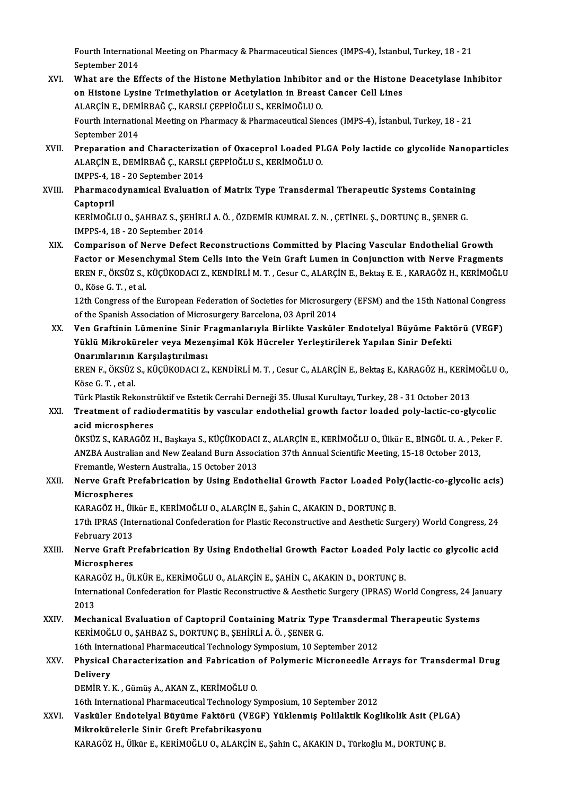Fourth International Meeting on Pharmacy & Pharmaceutical Siences (IMPS-4), İstanbul, Turkey, 18 - 21<br>Sentember 2014 Fourth Internatio<br>September 2014<br>What are the Ef Fourth International Meeting on Pharmacy & Pharmaceutical Siences (IMPS-4), İstanbul, Turkey, 18 - 21<br>September 2014<br>XVI. What are the Effects of the Histone Methylation Inhibitor and or the Histone Deacetylase Inhibitor<br>o

- September 2014<br>What are the Effects of the Histone Methylation Inhibitor and or the Histone<br>On Histone Lysine Trimethylation or Acetylation in Breast Cancer Cell Lines<br>ALARCINE, DEMIPRAČ G. KARSLI CERRIQČLUS, KERIMOČLUO What are the Effects of the Histone Methylation Inhibitor<br>on Histone Lysine Trimethylation or Acetylation in Breast<br>ALARÇİN E., DEMİRBAĞ Ç., KARSLI ÇEPPİOĞLU S., KERİMOĞLU O.<br>Fourth International Meeting on Bharmagy & Bhar Fourth International Meeting on Pharmacy & Pharmaceutical Siences (IMPS-4), İstanbul, Turkey, 18 - 21<br>September 2014 ALARÇİN E., DEMİRBAĞ Ç., KARSLI ÇEPPİOĞLU S., KERİMOĞLU O. Fourth International Meeting on Pharmacy & Pharmaceutical Siences (IMPS-4), İstanbul, Turkey, 18 - 21<br>September 2014<br>XVII. Preparation and Characterization of Oxaceprol Loaded PLGA Poly lactide co glycolide Nanoparticles<br>A
- September 2014<br>Preparation and Characterization of Oxaceprol Loaded PI<br>ALARÇİN E., DEMİRBAĞ Ç., KARSLI ÇEPPİOĞLU S., KERİMOĞLU O.<br>IMPRS 4, 18, 20 September 2014 Preparation and Characterizat<br>ALARÇİN E., DEMİRBAĞ Ç., KARSLI<br>IMPPS-4, 18 - 20 September 2014<br>Pharmasedunamisel Evaluation ALARÇİN E., DEMİRBAĞ Ç., KARSLI ÇEPPİOĞLU S., KERİMOĞLU O.<br>1995-4, 18 - 20 September 2014<br>XVIII. Pharmacodynamical Evaluation of Matrix Type Transdermal Therapeutic Systems Containing<br>Contannil
- IMPPS-4, 1<br><mark>Pharmaco</mark><br>Captopril<br><sup>VEDIMOČI</sup> Pharmacodynamical Evaluation of Matrix Type Transdermal Therapeutic Systems Containin<br>Captopril<br>KERİMOĞLU O., ŞAHBAZ S., ŞEHİRLİ A. Ö. , ÖZDEMİR KUMRAL Z. N. , ÇETİNEL Ş., DORTUNÇ B., ŞENER G.<br>IMPES 4, 19, ...20 Sentember

Captopril<br>KERİMOĞLU O., ŞAHBAZ S., ŞEHİRLİ A. Ö. , ÖZDEMİR KUMRAL Z. N. , ÇETİNEL Ş., DORTUNÇ B., ŞENER G.<br>IMPPS-4, 18 - 20 September 2014

XIX. Comparison of Nerve Defect Reconstructions Committed by Placing Vascular Endothelial Growth Factor or Mesenchymal Stem Cells into the Vein Graft Lumen in Conjunction with Nerve Fragments Comparison of Nerve Defect Reconstructions Committed by Placing Vascular Endothelial Growth<br>Factor or Mesenchymal Stem Cells into the Vein Graft Lumen in Conjunction with Nerve Fragments<br>EREN F., ÖKSÜZ S., KÜÇÜKODACI Z., K Factor or Mesen<br>EREN F., ÖKSÜZ S.,<br>O., Köse G. T. , et al.<br>12th Congress of th EREN F., ÖKSÜZ S., KÜÇÜKODACI Z., KENDİRLİ M. T. , Cesur C., ALARÇİN E., Bektaş E. E. , KARAGÖZ H., KERİMOĞLU<br>O., Köse G. T. , et al.<br>12th Congress of the European Federation of Societies for Microsurgery (EFSM) and the 15

O., Köse G. T. , et al.<br>12th Congress of the European Federation of Societies for Microsurg<br>of the Spanish Association of Microsurgery Barcelona, 03 April 2014<br>Ven Creftinin Lümenine Sinin Enegmanlanude Birlikte Vesküle 12th Congress of the European Federation of Societies for Microsurgery (EFSM) and the 15th National Congress<br>of the Spanish Association of Microsurgery Barcelona, 03 April 2014<br>XX. Ven Graftinin Lümenine Sinir Fragmanlarıy

of the Spanish Association of Microsurgery Barcelona, 03 April 2014<br>Ven Graftinin Lümenine Sinir Fragmanlarıyla Birlikte Vasküler Endotelyal Büyüme Fakt<br>Yüklü Mikroküreler veya Mezenşimal Kök Hücreler Yerleştirilerek Yapıl Ven Graftinin Lümenine Sinir F<br>Yüklü Mikroküreler veya Mezer<br>Onarımlarının Karşılaştırılması<br>FPEN E. Öksüz s. küçükonACLZ Yüklü Mikroküreler veya Mezenşimal Kök Hücreler Yerleştirilerek Yapılan Sinir Defekti<br>Onarımlarının Karşılaştırılması<br>EREN F., ÖKSÜZ S., KÜÇÜKODACI Z., KENDİRLİ M. T. , Cesur C., ALARÇİN E., Bektaş E., KARAGÖZ H., KERİMOĞL

Onarımlarının<br>EREN F., ÖKSÜZ<br>Köse G. T. , et al.<br>Türk Plastik Bok EREN F., ÖKSÜZ S., KÜÇÜKODACI Z., KENDİRLİ M. T. , Cesur C., ALARÇİN E., Bektaş E., KARAGÖZ H., KERİM<br>Köse G. T. , et al.<br>Türk Plastik Rekonstrüktif ve Estetik Cerrahi Derneği 35. Ulusal Kurultayı, Turkey, 28 - 31 October

Köse G. T. , et al.<br>Türk Plastik Rekonstrüktif ve Estetik Cerrahi Derneği 35. Ulusal Kurultayı, Turkey, 28 - 31 October 2013<br>XXI. Treatment of radiodermatitis by vascular endothelial growth factor loaded poly-lactic-co **Türk Plastik Rekonstr<br>Treatment of radio<br>acid microspheres<br>övsüz s. vapacözi** Treatment of radiodermatitis by vascular endothelial growth factor loaded poly-lactic-co-glycolic<br>acid microspheres<br>ÖKSÜZ S., KARAGÖZ H., Başkaya S., KÜÇÜKODACI Z., ALARÇİN E., KERİMOĞLU O., Ülkür E., BİNGÖL U.A. , Peker F

acid microspheres<br>ÖKSÜZ S., KARAGÖZ H., Başkaya S., KÜÇÜKODACI Z., ALARÇİN E., KERİMOĞLU O., Ülkür E., BİNGÖL U. A. , Pel<br>ANZBA Australian and New Zealand Burn Association 37th Annual Scientific Meeting, 15-18 October 2013 ÖKSÜZ S., KARAGÖZ H., Başkaya S., KÜÇÜKODACI<br>ANZBA Australian and New Zealand Burn Associ<br>Fremantle, Western Australia., 15 October 2013<br>Narve Craft Prefebrisation by Heing Endetl ANZBA Australian and New Zealand Burn Association 37th Annual Scientific Meeting, 15-18 October 2013,<br>Fremantle, Western Australia., 15 October 2013<br>XXII. Nerve Graft Prefabrication by Using Endothelial Growth Factor Loade

## Fremantle, Wes<br><mark>Nerve Graft Pi</mark><br>Microspheres<br>KARACÖZ H. Üll Nerve Graft Prefabrication by Using Endothelial Growth Factor Loaded Po<br>Microspheres<br>KARAGÖZ H., Ülkür E., KERİMOĞLU O., ALARÇİN E., Şahin C., AKAKIN D., DORTUNÇ B.<br>17th IBBAS (International Confederation for Plastic Pesen

Microspheres<br>KARAGÖZ H., Ülkür E., KERİMOĞLU O., ALARÇİN E., Şahin C., AKAKIN D., DORTUNÇ B.<br>17th IPRAS (International Confederation for Plastic Reconstructive and Aesthetic Surgery) World Congress, 24<br>February 2012 KARAGÖZ H., Üll<br>17th IPRAS (Inte<br>February 2013<br>Norve Craft Pr 17th IPRAS (International Confederation for Plastic Reconstructive and Aesthetic Surgery) World Congress, 24<br>February 2013<br>XXIII. Nerve Graft Prefabrication By Using Endothelial Growth Factor Loaded Poly lactic co glycolic

## February 2013<br>Nerve Graft Prefabrication By Using Endothelial Growth Factor Loaded Poly lactic co glycolic acid<br>Microspheres Nerve Graft Prefabrication By Using Endothelial Growth Factor Loaded Poly<br>Microspheres<br>KARAGÖZ H., ÜLKÜR E., KERİMOĞLU O., ALARÇİN E., ŞAHİN C., AKAKIN D., DORTUNÇ B.<br>International Confederation for Plastic Pesenstructive

International Confederation for Plastic Reconstructive & Aesthetic Surgery (IPRAS) World Congress, 24 January<br>2013 KARA<br>Intern<br>2013<br>Mash International Confederation for Plastic Reconstructive & Aesthetic Surgery (IPRAS) World Congress, 24 Jan<br>2013<br>XXIV. Mechanical Evaluation of Captopril Containing Matrix Type Transdermal Therapeutic Systems<br>REPIMOČLU O SAU

## 2013<br>Mechanical Evaluation of Captopril Containing Matrix Typ<br>KERİMOĞLU O., ŞAHBAZ S., DORTUNÇ B., ŞEHİRLİ A. Ö. , ŞENER G.<br>16th International Pharmaceutical Technology Supposium 10 Set Mechanical Evaluation of Captopril Containing Matrix Type Transderm<br>KERİMOĞLU O., ŞAHBAZ S., DORTUNÇ B., ŞEHİRLİ A. Ö. , ŞENER G.<br>16th International Pharmaceutical Technology Symposium, 10 September 2012<br>Physical Character

## KERİMOĞLU O., ŞAHBAZ S., DORTUNÇ B., ŞEHİRLİ A. Ö. , ŞENER G.<br>16th International Pharmaceutical Technology Symposium, 10 September 2012<br>XXV. Physical Characterization and Fabrication of Polymeric Microneedle Arrays for 16th International Pharmaceutical Technology Symposium, 10 September 2012<br>Physical Characterization and Fabrication of Polymeric Microneedle A<br>Delivery<br>DEMİR Y. K., Gümüş A., AKAN Z., KERİMOĞLU O. Physical Characterization and Fabrication<br>Delivery<br>DEMİR Y. K. , Gümüş A., AKAN Z., KERİMOĞLU O.<br>16th International Pharmaseutisal Technologu S Delivery<br>DEMİR Y. K. , Gümüş A., AKAN Z., KERİMOĞLU O.<br>16th International Pharmaceutical Technology Symposium, 10 September 2012<br>Vesküler Endetelvel Büyüme Fektörü (VECE) Yüklenmiş Peklektik Kec

XXVI. Vasküler Endotelyal Büyüme Faktörü (VEGF) Yüklenmiş Polilaktik Koglikolik Asit (PLGA) 16th International Pharmaceutical Technology Syn<br>Vasküler Endotelyal Büyüme Faktörü (VEGF<br>Mikrokürelerle Sinir Greft Prefabrikasyonu<br>KARACÖZ H. Ülkün E. KERİMOČLU O. ALARCİN E

KARAGÖZH.,Ülkür E.,KERİMOĞLUO.,ALARÇİNE.,ŞahinC.,AKAKIND.,TürkoğluM.,DORTUNÇB.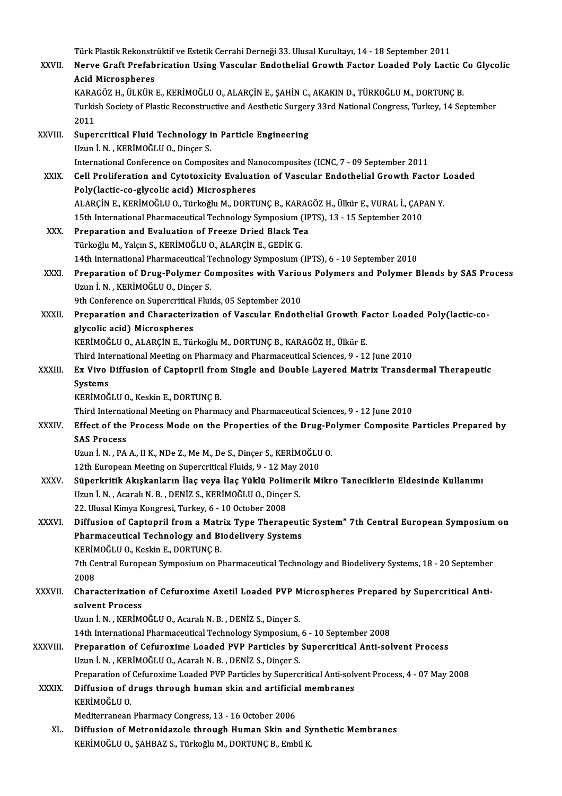Türk Plastik Rekonstrüktif ve Estetik Cerrahi Derneği 33. Ulusal Kurultayı, 14 - 18 September 2011<br>Nanya Cuaft Puafahrisation Heing Vosaular Endethelial Cuauth Faster Leaded Pely Lest Türk Plastik Rekonstrüktif ve Estetik Cerrahi Derneği 33. Ulusal Kurultayı, 14 - 18 September 2011<br>XXVII. Nerve Graft Prefabrication Using Vascular Endothelial Growth Factor Loaded Poly Lactic Co Glycolic Türk Plastik Rekonstr<br>Nerve Graft Prefab<br>Acid Microspheres<br>KARACÖZ H. ÜLKÜR Nerve Graft Prefabrication Using Vascular Endothelial Growth Factor Loaded Poly Lactic (<br>Acid Microspheres<br>KARAGÖZ H., ÜLKÜR E., KERİMOĞLU O., ALARÇİN E., ŞAHİN C., AKAKIN D., TÜRKOĞLU M., DORTUNÇ B.<br>Turkish Sosisty of Pla Acid Microspheres<br>KARAGÖZ H., ÜLKÜR E., KERİMOĞLU O., ALARÇİN E., ŞAHİN C., AKAKIN D., TÜRKOĞLU M., DORTUNÇ B.<br>Turkish Society of Plastic Reconstructive and Aesthetic Surgery 33rd National Congress, Turkey, 14 September<br>20 KARAGÖZ H., ÜLKÜR E., KERİMOĞLU O., ALARÇİN E., ŞAHİN C., AKAKIN D., TÜRKOĞLU M., DORTUNÇ B. Turkish Society of Plastic Reconstructive and Aesthetic Surger<br>2011<br>XXVIII. Supercritical Fluid Technology in Particle Engineering<br>Igun <sup>1</sup> N. KERIMOČI II.O. Dincer S 2011<br>Supercritical Fluid Technology i<br>Uzun İ. N. , KERİMOĞLU O., Dinçer S.<br>International Conference en Comne Uzun İ. N. , KERİMOĞLU O., Dinçer S.<br>International Conference on Composites and Nanocomposites (ICNC, 7 - 09 September 2011 Uzun İ. N. , KERİMOĞLU O., Dinçer S.<br>International Conference on Composites and Nanocomposites (ICNC, 7 - 09 September 2011<br>XXIX. Cell Proliferation and Cytotoxicity Evaluation of Vascular Endothelial Growth Factor Loaded<br> International Conference on Composites and Na<br>Cell Proliferation and Cytotoxicity Evaluati<br>Poly(lactic-co-glycolic acid) Microspheres<br>ALAPCIN E, KERIMOČLHO, Türkoğlu M. DOPTI Cell Proliferation and Cytotoxicity Evaluation of Vascular Endothelial Growth Factor I<br>Poly(lactic-co-glycolic acid) Microspheres<br>ALARÇİN E., KERİMOĞLU O., Türkoğlu M., DORTUNÇ B., KARAGÖZ H., Ülkür E., VURAL İ., ÇAPAN Y.<br> Poly(lactic-co-glycolic acid) Microspheres<br>ALARÇİN E., KERİMOĞLU O., Türkoğlu M., DORTUNÇ B., KARAGÖZ H., Ülkür E., VURAL İ., ÇAPAN Y.<br>15th International Pharmaceutical Technology Symposium (IPTS), 13 - 15 September 2010 ALARÇİN E., KERİMOĞLU O., Türkoğlu M., DORTUNÇ B., KARAC<br>15th International Pharmaceutical Technology Symposium (IP<br>XXX. Preparation and Evaluation of Freeze Dried Black Tea<br>Türkoğlu M. Yalam S. KERİMOĞLU O. ALARÇİN E. CED 15th International Pharmaceutical Technology Symposium (<br>Preparation and Evaluation of Freeze Dried Black Te<br>Türkoğlu M., Yalçın S., KERİMOĞLU O., ALARÇİN E., GEDİK G.<br>14th International Pharmaceutical Technology Symposium Preparation and Evaluation of Freeze Dried Black Tea<br>Türkoğlu M., Yalçın S., KERİMOĞLU O., ALARÇİN E., GEDİK G.<br>14th International Pharmaceutical Technology Symposium (IPTS), 6 - 10 September 2010<br>Preperation of Drug Bolym Türkoğlu M., Yalçın S., KERİMOĞLU O., ALARÇİN E., GEDİK G.<br>14th International Pharmaceutical Technology Symposium (IPTS), 6 - 10 September 2010<br>XXXI. Preparation of Drug-Polymer Composites with Various Polymers and Polymer 14th International Pharmaceutical T<br>Preparation of Drug-Polymer Co<br>Uzun İ. N., KERİMOĞLU O., Dinçer S.<br>9th Conforence on Supergritical Elui Preparation of Drug-Polymer Composites with Variou<br>Uzun İ. N. , KERİMOĞLU O., Dinçer S.<br>9th Conference on Supercritical Fluids, 05 September 2010<br>Preperation and Gharastariration of Vossular Endath Uzun İ. N. , KERİMOĞLU O., Dinçer S.<br>9th Conference on Supercritical Fluids, 05 September 2010<br>XXXII. Preparation and Characterization of Vascular Endothelial Growth Factor Loaded Poly(lactic-co-<br>«Iveslis asid) Misrosp **9th Conference on Supercritical<br>Preparation and Characteriz<br>glycolic acid) Microspheres<br>ERPIMOČLUO ALAPCINE TS:** Preparation and Characterization of Vascular Endothelial Growth F:<br>glycolic acid) Microspheres<br>KERİMOĞLU O., ALARÇİN E., Türkoğlu M., DORTUNÇ B., KARAGÖZ H., Ülkür E.<br>Third International Meeting on Pharmagy and Pharmageuti glycolic acid) Microspheres<br>KERİMOĞLU O., ALARÇİN E., Türkoğlu M., DORTUNÇ B., KARAGÖZ H., Ülkür E.<br>Third International Meeting on Pharmacy and Pharmaceutical Sciences, 9 - 12 June 2010<br>Ex Vive Diffusion of Cantonril from KERİMOĞLU O., ALARÇİN E., Türkoğlu M., DORTUNÇ B., KARAGÖZ H., Ülkür E.<br>Third International Meeting on Pharmacy and Pharmaceutical Sciences, 9 - 12 June 2010<br>XXXIII. Ex Vivo Diffusion of Captopril from Single and Doubl Third Inte<br>Ex Vivo<br>Systems<br>EpiMOČ Ex Vivo Diffusion of Captopril from<br>Systems<br>KERİMOĞLU O., Keskin E., DORTUNÇ B.<br>Third International Meeting on Phorma Systems<br>KERİMOĞLU O., Keskin E., DORTUNÇ B.<br>Third International Meeting on Pharmacy and Pharmaceutical Sciences, 9 - 12 June 2010 KERİMOĞLU O., Keskin E., DORTUNÇ B.<br>Third International Meeting on Pharmacy and Pharmaceutical Sciences, 9 - 12 June 2010<br>XXXIV. Effect of the Process Mode on the Properties of the Drug-Polymer Composite Particles Prep Third Internat<br>Effect of the<br>SAS Process<br>Ugun <sup>i N - PA</sup> Effect of the Process Mode on the Properties of the Drug-Po<br>SAS Process<br>Uzun İ. N. , PA A., II K., NDe Z., Me M., De S., Dinçer S., KERİMOĞLU O.<br>12th European Meeting on Sunengritisel Eluide Q., 12 May 2010. SAS Process<br>Uzun İ. N. , PA A., II K., NDe Z., Me M., De S., Dinçer S., KERİMOĞLU O.<br>12th European Meeting on Supercritical Fluids, 9 - 12 May 2010 Uzun İ. N. , PA A., II K., NDe Z., Me M., De S., Dinçer S., KERİMOĞLU O.<br>12th European Meeting on Supercritical Fluids, 9 - 12 May 2010<br>XXXV. Süperkritik Akışkanların İlaç veya İlaç Yüklü Polimerik Mikro Taneciklerin Eldes 12th European Meeting on Supercritical Fluids, 9 - 12 May 2<br>Süperkritik Akışkanların İlaç veya İlaç Yüklü Polimer<br>Uzun İ. N. , Acaralı N. B. , DENİZ S., KERİMOĞLU O., Dinçer S.<br>22 Hlugal Kimua Kongresi Turkay 6 - 10 Ostaba Süperkritik Akışkanların İlaç veya İlaç Yüklü Polin<br>Uzun İ. N. , Acaralı N. B. , DENİZ S., KERİMOĞLU O., Dinçe<br>22. Ulusal Kimya Kongresi, Turkey, 6 - 10 October 2008<br>Diffusion of Cantannil from a Matriy Tuna Tharan Uzun İ. N. , Acaralı N. B. , DENİZ S., KERİMOĞLU O., Dinçer S.<br>22. Ulusal Kimya Kongresi, Turkey, 6 - 10 October 2008<br>XXXVI. Diffusion of Captopril from a Matrix Type Therapeutic System" 7th Central European Symposium 22. Ulusal Kimya Kongresi, Turkey, 6 - 10 October 2008<br>Diffusion of Captopril from a Matrix Type Therapeuti<br>Pharmaceutical Technology and Biodelivery Systems<br>KERİMOČLU O Keskin E. DORTUNC B Diffusion of Captopril from a Matr<br>Pharmaceutical Technology and Bi<br>KERİMOĞLU O., Keskin E., DORTUNÇ B.<br><sup>7th Contral Euroneen Sumnosium on B</sup> Pharmaceutical Technology and Biodelivery Systems<br>KERİMOĞLU O., Keskin E., DORTUNÇ B.<br>7th Central European Symposium on Pharmaceutical Technology and Biodelivery Systems, 18 - 20 September<br>2008 KERIN<br>7th Ce<br>2008<br>Chara 7th Central European Symposium on Pharmaceutical Technology and Biodelivery Systems, 18 - 20 September<br>2008<br>XXXVII. Characterization of Cefuroxime Axetil Loaded PVP Microspheres Prepared by Supercritical Anti-2008<br>Characterization<br>solvent Process<br>Urun LN - KERIM Characterization of Cefuroxime Axetil Loaded PVP M<br>solvent Process<br>Uzun İ. N. , KERİMOĞLU O., Acaralı N. B. , DENİZ S., Dinçer S.<br>14th International Pharmaceutical Technology Symnesium solvent Process<br>Uzun İ. N. , KERİMOĞLU O., Acaralı N. B. , DENİZ S., Dinçer S.<br>14th International Pharmaceutical Technology Symposium, 6 - 10 September 2008<br>Prenanation of Cefunovime Loaded PVP Perticles by Superspitical A Uzun İ. N. , KERİMOĞLU O., Acaralı N. B. , DENİZ S., Dinçer S.<br>14th International Pharmaceutical Technology Symposium, 6 - 10 September 2008<br>XXXVIII. Preparation of Cefuroxime Loaded PVP Particles by Supercritical Anti-sol 14th International Pharmaceutical Technology Symposium,<br>Preparation of Cefuroxime Loaded PVP Particles by<br>Uzun İ. N. , KERİMOĞLU O., Acaralı N. B. , DENİZ S., Dinçer S.<br>Preparation of Cefurovime Loaded PVP Particles by Sup Preparation of Cefuroxime Loaded PVP Particles by Supercritical Anti-solvent Process<br>Uzun İ. N. , KERİMOĞLU O., Acaralı N. B. , DENİZ S., Dinçer S.<br>Preparation of Cefuroxime Loaded PVP Particles by Supercritical Anti-solve Uzun İ. N. , KERİMOĞLU O., Acaralı N. B. , DENİZ S., Dinçer S.<br>Preparation of Cefuroxime Loaded PVP Particles by Supercritical Anti-soly<br>XXXIX. Diffusion of drugs through human skin and artificial membranes Preparation of<br>Diffusion of d<br>KERİMOĞLU O.<br>Mediterranean Diffusion of drugs through human skin and artificia<br>KERİMOĞLU 0.<br>Mediterranean Pharmacy Congress, 13 - 16 October 2006<br>Diffusion of Metronidagele through Human Skin and KERİMOĞLU O.<br>Mediterranean Pharmacy Congress, 13 - 16 October 2006<br>XL. Diffusion of Metronidazole through Human Skin and Synthetic Membranes<br>KERİMOĞLU O. SAHBAZ S. Türkoğlu M. DOPTINC B. Embil K. Mediterranean Pharmacy Congress, 13 - 16 October 2006<br>Diffusion of Metronidazole through Human Skin and Sy<br>KERİMOĞLU O., ŞAHBAZ S., Türkoğlu M., DORTUNÇ B., Embil K.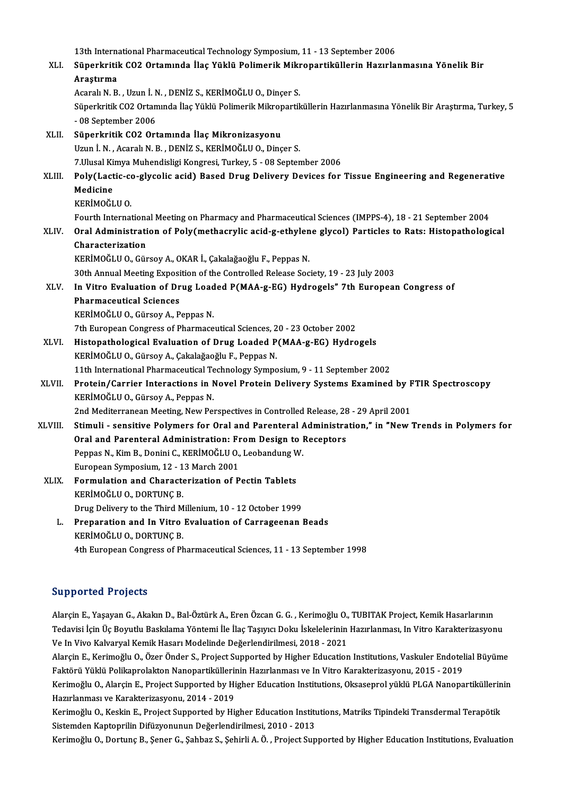13th International Pharmaceutical Technology Symposium, 11 - 13 September 2006<br>Sünerkritik CO2 Ortamında İlas Vültlü Belimesik Mikropertiküllerin Hesurle 13th International Pharmaceutical Technology Symposium, 11 - 13 September 2006<br>XLI. Süperkritik CO2 Ortamında İlaç Yüklü Polimerik Mikropartiküllerin Hazırlanmasına Yönelik Bir 13th Interna<br>Süperkritil<br>Araştırma<br>Asaralı N. B Süperkritik CO2 Ortamında İlaç Yüklü Polimerik Mikr<br>Araştırma<br>Acaralı N. B. , Uzun İ. N. , DENİZ S., KERİMOĞLU O., Dinçer S.<br>Sünerlmitli CO2 Ortamında İlaş Yüklü Polimerik Milmonerili Araştırma<br>Acaralı N. B. , Uzun İ. N. , DENİZ S., KERİMOĞLU O., Dinçer S.<br>Süperkritik CO2 Ortamında İlaç Yüklü Polimerik Mikropartiküllerin Hazırlanmasına Yönelik Bir Araştırma, Turkey, 5<br>- 98 Santamber 2006 Acaralı N. B. , Uzun İ. M<br>Süperkritik CO2 Ortan<br>- 08 September 2006<br>Süperkritik CO2 Ort XLI . Süperkritik CO2 Ortamında İlaçMikronizasyonu Uzun İ.N., Acaralı N.B., DENİZ S., KERİMOĞLU O., Dinçer S. 7. Ulusal Kimya Muhendisligi Kongresi, Turkey, 5 - 08 September 2006 Uzun İ. N. , Acaralı N. B. , DENİZ S., KERİMOĞLU O., Dinçer S.<br>7.Ulusal Kimya Muhendisligi Kongresi, Turkey, 5 - 08 September 2006<br>XLIII. Poly(Lactic-co-glycolic acid) Based Drug Delivery Devices for Tissue Engineering 7.Ulusal Ki<br>Poly(Lact<br>Medicine<br><sup>VEDİMOČI</sup> Poly (Lactic-co<br>Medicine<br>KERİMOĞLU O.<br>Fourth Internat Medicine<br>KERİMOĞLU O.<br>Fourth International Meeting on Pharmacy and Pharmaceutical Sciences (IMPPS-4), 18 - 21 September 2004 KERİMOĞLU O.<br>Fourth International Meeting on Pharmacy and Pharmaceutical Sciences (IMPPS-4), 18 - 21 September 2004<br>XLIV. Oral Administration of Poly(methacrylic acid-g-ethylene glycol) Particles to Rats: Histopatholog Fourth Internation<br>Oral Administrati<br>Characterization<br>EEPIMOČULO Cür Oral Administration of Poly(methacrylic acid-g-ethylen<br>Characterization<br>KERİMOĞLU O., Gürsoy A., OKAR İ., Çakalağaoğlu F., Peppas N.<br>20th Annual Meeting Eunesition of the Controlled Pelasee See Characterization<br>KERİMOĞLU O., Gürsoy A., OKAR İ., Çakalağaoğlu F., Peppas N.<br>30th Annual Meeting Exposition of the Controlled Release Society, 19 - 23 July 2003 KERİMOĞLU O., Gürsoy A., OKAR İ., Çakalağaoğlu F., Peppas N.<br>30th Annual Meeting Exposition of the Controlled Release Society, 19 - 23 July 2003<br>XLV. In Vitro Evaluation of Drug Loaded P(MAA-g-EG) Hydrogels" 7th European C **30th Annual Meeting Exposi<br>In Vitro Evaluation of Dr<br>Pharmaceutical Sciences<br>EEPIMOČLUO Gürsey A B** In Vitro Evaluation of Drug Load<br>Pharmaceutical Sciences<br>KERİMOĞLU O., Gürsoy A., Peppas N.<br>7th Euronean Congress of Pharmase Pharmaceutical Sciences<br>KERİMOĞLU O., Gürsoy A., Peppas N.<br>7th European Congress of Pharmaceutical Sciences, 20 - 23 October 2002 XLVI. Histopathological Evaluation of Drug Loaded P(MAA-g-EG) Hydrogels KERİMOĞLU O., Gürsoy A., Çakalağaoğlu F., Peppas N. 11th International Pharmaceutical Technology Symposium, 9 - 11 September 2002 KERİMOĞLU 0., Gürsoy A., Çakalağaoğlu F., Peppas N.<br>11th International Pharmaceutical Technology Symposium, 9 - 11 September 2002<br>XLVII. Protein/Carrier Interactions in Novel Protein Delivery Systems Examined by FTIR Spect 11th International Pharmaceutical Te<br>Protein/Carrier Interactions in N<br>KERİMOĞLU O., Gürsoy A., Peppas N.<br>2nd Moditerranean Meeting New Bey Protein/Carrier Interactions in Novel Protein Delivery Systems Examined by F<br>KERİMOĞLU O., Gürsoy A., Peppas N.<br>2nd Mediterranean Meeting, New Perspectives in Controlled Release, 28 - 29 April 2001<br>Stimuli – sonsitive Bely KERİMOĞLU O., Gürsoy A., Peppas N.<br>2nd Mediterranean Meeting, New Perspectives in Controlled Release, 28 - 29 April 2001<br>XLVIII. Stimuli - sensitive Polymers for Oral and Parenteral Administration," in "New Trends in Polym 2nd Mediterranean Meeting, New Perspectives in Controlled Release, 28<br>Stimuli - sensitive Polymers for Oral and Parenteral Administra<br>Oral and Parenteral Administration: From Design to Receptors<br>Pennes N. Kim B. Donini C. Stimuli - sensitive Polymers for Oral and Parenteral A<br>Oral and Parenteral Administration: From Design to l<br>Peppas N., Kim B., Donini C., KERİMOĞLU O., Leobandung W.<br>European Sumnosium 12, 12 Marsh 2001 Oral and Parenteral Administration: Fr<br>Peppas N., Kim B., Donini C., KERİMOĞLU O.,<br>European Symposium, 12 - 13 March 2001<br>Formulation and Characterization of P Peppas N., Kim B., Donini C., KERİMOĞLU O., Leobandung V<br>European Symposium, 12 - 13 March 2001<br>XLIX. Formulation and Characterization of Pectin Tablets<br>EREPIMOČLU O. DOPTING P European Symposium, 12 - 1<br>Formulation and Characte<br>KERİMOĞLU O., DORTUNÇ B.<br>Dava Dolivoru to the Third M Formulation and Characterization of Pectin Tablets<br>KERİMOĞLU O., DORTUNÇ B.<br>Drug Delivery to the Third Millenium, 10 - 12 October 1999<br>Preperation and In Vitro Evaluation of Corrageonan I KERİMOĞLU 0., DORTUNÇ B.<br>Drug Delivery to the Third Millenium, 10 - 12 October 1999<br>L. Preparation and In Vitro Evaluation of Carrageenan Beads<br>ERRIMOĞLU O. DORTING B Drug Delivery to the Third M<br>Preparation and In Vitro<br>KERİMOĞLU O., DORTUNÇ B.<br>4th European Congress of Ph KERİMOĞLU O., DORTUNÇ B.<br>4th European Congress of Pharmaceutical Sciences, 11 - 13 September 1998

### Supported Projects

**Supported Projects**<br>Alarçin E., Yaşayan G., Akakın D., Bal-Öztürk A., Eren Özcan G. G. , Kerimoğlu O., TUBITAK Project, Kemik Hasarlarının<br>Tedavisi İsin Üe Beyutlu Baslalama Yöntemi İle İleş Tesyva Dolay İskalaları'nın Ha Ba p Borced Freysels<br>Alarçin E., Yaşayan G., Akakın D., Bal-Öztürk A., Eren Özcan G. G. , Kerimoğlu O., TUBITAK Project, Kemik Hasarlarının<br>Tedavisi İçin Üç Boyutlu Baskılama Yöntemi İle İlaç Taşıyıcı Doku İskelelerinin Ha Alarçin E., Yaşayan G., Akakın D., Bal-Öztürk A., Eren Özcan G. G. , Kerimoğlu O.,<br>Tedavisi İçin Üç Boyutlu Baskılama Yöntemi İle İlaç Taşıyıcı Doku İskelelerinin<br>Ve In Vivo Kalvaryal Kemik Hasarı Modelinde Değerlendirilme Tedavisi İçin Üç Boyutlu Baskılama Yöntemi İle İlaç Taşıyıcı Doku İskelelerinin Hazırlanması, In Vitro Karakterizasyonu<br>Ve In Vivo Kalvaryal Kemik Hasarı Modelinde Değerlendirilmesi, 2018 - 2021<br>Alarçin E., Kerimoğlu O., Ö

Ve In Vivo Kalvaryal Kemik Hasarı Modelinde Değerlendirilmesi, 2018 - 2021<br>Alarçin E., Kerimoğlu O., Özer Önder S., Project Supported by Higher Education Institutions, Vaskuler Endotel<br>Faktörü Yüklü Polikaprolakton Nanopar Alarçin E., Kerimoğlu O., Özer Önder S., Project Supported by Higher Education Institutions, Vaskuler Endotelial Büyüme<br>Faktörü Yüklü Polikaprolakton Nanopartiküllerinin Hazırlanması ve In Vitro Karakterizasyonu, 2015 - 20

Faktörü Yüklü Polikaprolakton Nanopartiküllerinin Hazırlanması ve In Vitro Karakterizasyonu, 2015 - 2019<br>Kerimoğlu O., Alarçin E., Project Supported by Higher Education Institutions, Oksaseprol yüklü PLGA Nanopartiküllerin Kerimoğlu O., Alarçin E., Project Supported by Higher Education Institutions, Oksaseprol yüklü PLGA Nanopartiküllerin<br>Hazırlanması ve Karakterizasyonu, 2014 - 2019<br>Kerimoğlu O., Keskin E., Project Supported by Higher Educa

Hazırlanması ve Karakterizasyonu, 2014 - 2019<br>Kerimoğlu O., Keskin E., Project Supported by Higher Education Institu<br>Sistemden Kaptoprilin Difüzyonunun Değerlendirilmesi, 2010 - 2013<br>Kerimoğlu O. Dertuna B. Sanar G. Sabbar

Sistemden Kaptoprilin Difüzyonunun Değerlendirilmesi, 2010 - 2013<br>Kerimoğlu O., Dortunç B., Şener G., Şahbaz S., Şehirli A. Ö. , Project Supported by Higher Education Institutions, Evaluation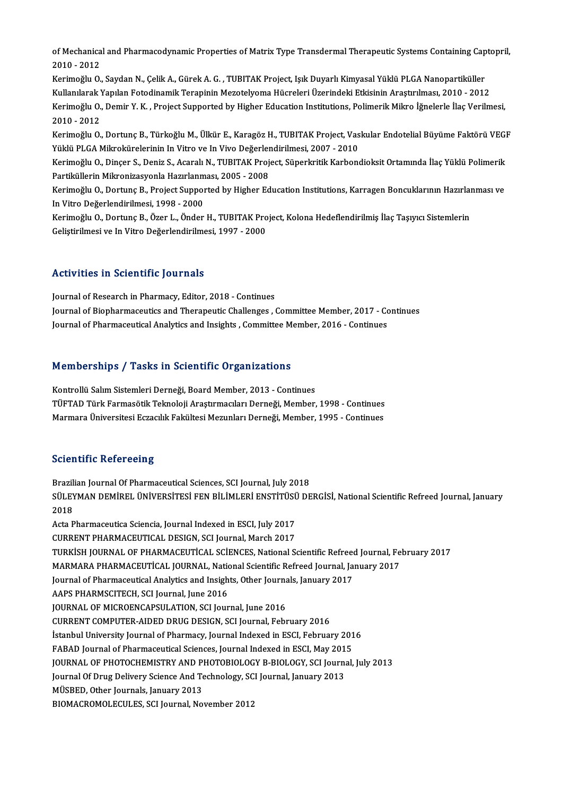of Mechanical and Pharmacodynamic Properties of Matrix Type Transdermal Therapeutic Systems Containing Captopril,<br>2010–2012 of Mechanica<br>2010 - 2012<br>Karimažlu O of Mechanical and Pharmacodynamic Properties of Matrix Type Transdermal Therapeutic Systems Containing Cap<br>2010 - 2012<br>Kerimoğlu O., Saydan N., Çelik A., Gürek A. G. , TUBITAK Project, Işık Duyarlı Kimyasal Yüklü PLGA Nano

2010 - 2012<br>Kerimoğlu O., Saydan N., Çelik A., Gürek A. G. , TUBITAK Project, Işık Duyarlı Kimyasal Yüklü PLGA Nanopartiküller<br>Kullanılarak Yapılan Fotodinamik Terapinin Mezotelyoma Hücreleri Üzerindeki Etkisinin Araştırıl Kerimoğlu O., Saydan N., Çelik A., Gürek A. G. , TUBITAK Project, Işık Duyarlı Kimyasal Yüklü PLGA Nanopartiküller<br>Kullanılarak Yapılan Fotodinamik Terapinin Mezotelyoma Hücreleri Üzerindeki Etkisinin Araştırılması, 2010 -Kullanılarak Y<br>Kerimoğlu O.,<br>2010 - 2012<br>Kerimoğlu O Kerimoğlu O., Demir Y. K. , Project Supported by Higher Education Institutions, Polimerik Mikro İğnelerle İlaç Verilmesi,<br>2010 - 2012<br>Kerimoğlu O., Dortunç B., Türkoğlu M., Ülkür E., Karagöz H., TUBITAK Project, Vaskular E

2010 - 2012<br>Kerimoğlu O., Dortunç B., Türkoğlu M., Ülkür E., Karagöz H., TUBITAK Project, Vas<br>Yüklü PLGA Mikrokürelerinin In Vitro ve In Vivo Değerlendirilmesi, 2007 - 2010<br>Kerimoğlu O. Dincer S. Deniz S. Acarelı N. TUBITA Kerimoğlu O., Dortunç B., Türkoğlu M., Ülkür E., Karagöz H., TUBITAK Project, Vaskular Endotelial Büyüme Faktörü VEGI<br>Yüklü PLGA Mikrokürelerinin In Vitro ve In Vivo Değerlendirilmesi, 2007 - 2010<br>Kerimoğlu O., Dinçer S.,

Yüklü PLGA Mikrokürelerinin In Vitro ve In Vivo Değerler<br>Kerimoğlu O., Dinçer S., Deniz S., Acaralı N., TUBITAK Proj<br>Partiküllerin Mikronizasyonla Hazırlanması, 2005 - 2008<br>Kerimoğlu O. Dertuna B. Project Sunnerted bu High Kerimoğlu O., Dinçer S., Deniz S., Acaralı N., TUBITAK Project, Süperkritik Karbondioksit Ortamında İlaç Yüklü Polimerik<br>Partiküllerin Mikronizasyonla Hazırlanması, 2005 - 2008<br>Kerimoğlu O., Dortunç B., Project Supported b

Partiküllerin Mikronizasyonla Hazırlanması, 2005 - 2008<br>Kerimoğlu O., Dortunç B., Project Supported by Higher Education Institutions, Karragen Boncuklarının Hazırla<br>In Vitro Değerlendirilmesi, 1998 - 2000<br>Kerimoğlu O., Dor Kerimoğlu O., Dortunç B., Project Supported by Higher Education Institutions, Karragen Boncuklarının Hazırlanması ve

Geliştirilmesi ve In Vitro Değerlendirilmesi, 1997 - 2000

### Activities in Scientific Journals

Journal of Research in Pharmacy, Editor, 2018 - Continues ISCHVICCO IN OCICHEITE JOUTHUIS<br>Journal of Research in Pharmacy, Editor, 2018 - Continues<br>Journal of Bharmaceutical Analytics and Insights, Committee Member, 2017 - Continues<br>Journal of Bharmaceutical Analytics and Insight Journal of Research in Pharmacy, Editor, 2018 - Continues<br>Journal of Biopharmaceutics and Therapeutic Challenges , Committee Member, 2017 - Co<br>Journal of Pharmaceutical Analytics and Insights , Committee Member, 2016 - Con

# Journal of Pharmaceutical Analytics and Insights , Committee Mo<br>Memberships / Tasks in Scientific Organizations

Memberships / Tasks in Scientific Organizations<br>Kontrollü Salım Sistemleri Derneği, Board Member, 2013 - Continues<br>TürkAD Türk Fermesêtik Teknoloji Arastrmasıları Derneği Member Kontrollü Salım Sistemleri Derneği, Board Member, 2013 - Continues<br>TÜFTAD Türk Farmasötik Teknoloji Araştırmacıları Derneği, Member, 1998 - Continues Marmara Üniversitesi Eczacılık Fakültesi Mezunları Derneği, Member, 1995 - Continues

### **Scientific Refereeing**

Brazilian Journal Of Pharmaceutical Sciences, SCI Journal, July 2018 SSTEMENTE RETET SONIS<br>Brazilian Journal Of Pharmaceutical Sciences, SCI Journal, July 2018<br>SÜLEYMAN DEMİREL ÜNİVERSİTESİ FEN BİLİMLERİ ENSTİTÜSÜ DERGİSİ, National Scientific Refreed Journal, January Brazil<br>SÜLEY<br>2018<br>Acta B SÜLEYMAN DEMİREL ÜNİVERSİTESİ FEN BİLİMLERİ ENSTİTÜSİ<br>2018<br>Acta Pharmaceutica Sciencia, Journal Indexed in ESCI, July 2017<br>CURRENT BHARMACEUTICAL DESICN SCI Journal Marsh 2017 2018<br>Acta Pharmaceutica Sciencia, Journal Indexed in ESCI, July 2017<br>CURRENT PHARMACEUTICAL DESIGN, SCI Journal, March 2017 Acta Pharmaceutica Sciencia, Journal Indexed in ESCI, July 2017<br>CURRENT PHARMACEUTICAL DESIGN, SCI Journal, March 2017<br>TURKİSH JOURNAL OF PHARMACEUTİCAL SCİENCES, National Scientific Refreed Journal, February 2017<br>MARMARA CURRENT PHARMACEUTICAL DESIGN, SCI Journal, March 2017<br>TURKİSH JOURNAL OF PHARMACEUTİCAL SCİENCES, National Scientific Refreed Journal, Fe<br>MARMARA PHARMACEUTİCAL JOURNAL, National Scientific Refreed Journal, January 2017<br>J TURKİSH JOURNAL OF PHARMACEUTİCAL SCİENCES, National Scientific Refreed<br>MARMARA PHARMACEUTİCAL JOURNAL, National Scientific Refreed Journal, Ja<br>Journal of Pharmaceutical Analytics and Insights, Other Journals, January 2017 MARMARA PHARMACEUTİCAL JOURNAL, National Scientific Refreed Journal, January 2017<br>Journal of Pharmaceutical Analytics and Insights, Other Journals, January 2017<br>AAPS PHARMSCITECH, SCI Journal, June 2016<br>JOURNAL OF MICROENC Journal of Pharmaceutical Analytics and Insights, Other Journals, January 2017 CURRENT COMPUTER-AIDED DRUG DESIGN, SCI Journal, February 2016 JOURNAL OF MICROENCAPSULATION, SCI Journal, June 2016<br>CURRENT COMPUTER-AIDED DRUG DESIGN, SCI Journal, February 2016<br>İstanbul University Journal of Pharmacy, Journal Indexed in ESCI, February 2016<br>EARAD Journal of Pharmaco CURRENT COMPUTER-AIDED DRUG DESIGN, SCI Journal, February 2016<br>İstanbul University Journal of Pharmacy, Journal Indexed in ESCI, February 201<br>FABAD Journal of Pharmaceutical Sciences, Journal Indexed in ESCI, May 2015<br>JOUR FABAD Journal of Pharmaceutical Sciences, Journal Indexed in ESCI, May 2015<br>JOURNAL OF PHOTOCHEMISTRY AND PHOTOBIOLOGY B-BIOLOGY, SCI Journal, July 2013 FABAD Journal of Pharmaceutical Sciences, Journal Indexed in ESCI, May 201<br>JOURNAL OF PHOTOCHEMISTRY AND PHOTOBIOLOGY B-BIOLOGY, SCI Journa<br>Journal Of Drug Delivery Science And Technology, SCI Journal, January 2013<br>MÜSPED, JOURNAL OF PHOTOCHEMISTRY AND P<br>Journal Of Drug Delivery Science And Te<br>MÜSBED, Other Journals, January 2013<br>PIOMACROMOLECULES, SCI Jaunnal No Journal Of Drug Delivery Science And Technology, SC<br>MÜSBED, Other Journals, January 2013<br>BIOMACROMOLECULES, SCI Journal, November 2012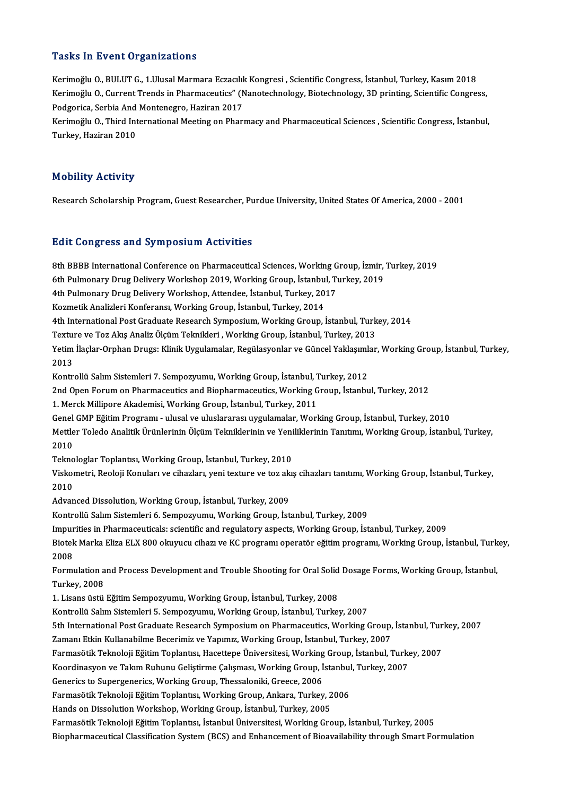### **Tasks In Event Organizations**

Kerimoğlu O., BULUT G., 1.Ulusal Marmara Eczacılık Kongresi , Scientific Congress, İstanbul, Turkey, Kasım 2018 Kerimoğlu O., Current Trends in Pharmaceutics" (Nanotechnology, Biotechnology, 3D printing, Scientific Congress, Kerimoğlu O., BULUT G., 1.Ulusal Marmara Eczacılık<br>Kerimoğlu O., Current Trends in Pharmaceutics" (N<br>Podgorica, Serbia And Montenegro, Haziran 2017<br>Kerimoğlu O. Third International Meeting on Phari

Kerimoğlu O., Third International Meeting on Pharmacy and Pharmaceutical Sciences , Scientific Congress, İstanbul,<br>Turkey, Haziran 2010 Podgorica, Serbia And<br>Kerimoğlu O., Third Int<br>Turkey, Haziran 2010

### Mobility Activity

Research Scholarship Program, Guest Researcher, Purdue University, United States Of America, 2000 - 2001

#### **Edit Congress and Symposium Activities**

8th BBBB International Conference on Pharmaceutical Sciences, Working Group, İzmir, Turkey, 2019 Bure Gorigi 655 und 87 mpoorum ricervieres<br>8th BBBB International Conference on Pharmaceutical Sciences, Working Group, İzmir,<br>6th Pulmonary Drug Delivery Workshop 2019, Working Group, İstanbul, Turkey, 2019<br>4th Pulmonary 8th BBBB International Conference on Pharmaceutical Sciences, Working G<br>6th Pulmonary Drug Delivery Workshop 2019, Working Group, İstanbul, Tu<br>4th Pulmonary Drug Delivery Workshop, Attendee, İstanbul, Turkey, 2017<br>Kormatik 6th Pulmonary Drug Delivery Workshop 2019, Working Group, İstanbu<br>4th Pulmonary Drug Delivery Workshop, Attendee, İstanbul, Turkey, 20<br>Kozmetik Analizleri Konferansı, Working Group, İstanbul, Turkey, 2014<br>4th International 4th Pulmonary Drug Delivery Workshop, Attendee, İstanbul, Turkey, 2017<br>Kozmetik Analizleri Konferansı, Working Group, İstanbul, Turkey, 2014<br>4th International Post Graduate Research Symposium, Working Group, İstanbul, Turk Kozmetik Analizleri Konferansı, Working Group, İstanbul, Turkey, 2014<br>4th International Post Graduate Research Symposium, Working Group, İstanbul, Turk<br>Texture ve Toz Akış Analiz Ölçüm Teknikleri , Working Group, İstanbul, 4th International Post Graduate Research Symposium, Working Group, İstanbul, Turkey, 2014<br>Texture ve Toz Akış Analiz Ölçüm Teknikleri , Working Group, İstanbul, Turkey, 2013<br>Yetim İlaçlar-Orphan Drugs: Klinik Uygulamalar, Textul<br>Yetim<br>2013<br>Kantu Yetim İlaçlar-Orphan Drugs: Klinik Uygulamalar, Regülasyonlar ve Güncel Yaklaşımlı<br>2013<br>Kontrollü Salım Sistemleri 7. Sempozyumu, Working Group, İstanbul, Turkey, 2012<br>2nd Open Forum en Pharmaseutiss and Biopharmaseutiss W 2013<br>Kontrollü Salım Sistemleri 7. Sempozyumu, Working Group, İstanbul, Turkey, 2012<br>2nd Open Forum on Pharmaceutics and Biopharmaceutics, Working Group, İstanbul, Turkey, 2012 1. Merck Millipore Akademisi, Working Group, İstanbul, Turkey, 2011 2nd Open Forum on Pharmaceutics and Biopharmaceutics, Working Group, İstanbul, Turkey, 2012<br>1. Merck Millipore Akademisi, Working Group, İstanbul, Turkey, 2011<br>Genel GMP Eğitim Programı - ulusal ve uluslararası uygulamalar Mettler Toledo Analitik Ürünlerinin Ölçüm Tekniklerinin ve Yeniliklerinin Tanıtımı, Working Group, İstanbul, Turkey,<br>2010 Genel<br>Mettle<br>2010<br>Telme Mettler Toledo Analitik Ürünlerinin Ölçüm Tekniklerinin ve Yeni<br>2010<br>Teknologlar Toplantısı, Working Group, İstanbul, Turkey, 2010<br>Viskometri, Booloji Konuları ve çihazları, yeni tevture ve tar ala 2010<br>Teknologlar Toplantısı, Working Group, İstanbul, Turkey, 2010<br>Viskometri, Reoloji Konuları ve cihazları, yeni texture ve toz akış cihazları tanıtımı, Working Group, İstanbul, Turkey, Tekno<br>Visko<br>2010<br>Advan Viskometri, Reoloji Konuları ve cihazları, yeni texture ve toz ak<br>2010<br>Advanced Dissolution, Working Group, İstanbul, Turkey, 2009<br>Kontrollü Selm Sistemleri 6, Semnegununu, Working Croup, İst 2010<br>Advanced Dissolution, Working Group, İstanbul, Turkey, 2009<br>Kontrollü Salım Sistemleri 6. Sempozyumu, Working Group, İstanbul, Turkey, 2009 Impurities in Pharmaceuticals: scientific and regulatory aspects, Working Group, İstanbul, Turkey, 2009 Kontrollü Salım Sistemleri 6. Sempozyumu, Working Group, İstanbul, Turkey, 2009<br>Impurities in Pharmaceuticals: scientific and regulatory aspects, Working Group, İstanbul, Turkey, 2009<br>Biotek Marka Eliza ELX 800 okuyucu cih Impur<br>Biotek<br>2008<br>Eormu Biotek Marka Eliza ELX 800 okuyucu cihazı ve KC programı operatör eğitim programı, Working Group, İstanbul, Turk<br>2008<br>Formulation and Process Development and Trouble Shooting for Oral Solid Dosage Forms, Working Group, İst 2008<br>Formulation and Process Development and Trouble Shooting for Oral Solid Dosage Forms, Working Group, İstanbul,<br>Turkey, 2008 1.LisansüstüEğitimSempozyumu,WorkingGroup, İstanbul,Turkey,2008 Turkey, 2008<br>1. Lisans üstü Eğitim Sempozyumu, Working Group, İstanbul, Turkey, 2008<br>Kontrollü Salım Sistemleri 5. Sempozyumu, Working Group, İstanbul, Turkey, 2007<br>Eth International Bost Craduate Besearsh Symposium en Bha 1. Lisans üstü Eğitim Sempozyumu, Working Group, İstanbul, Turkey, 2008<br>Kontrollü Salım Sistemleri 5. Sempozyumu, Working Group, İstanbul, Turkey, 2007<br>5th International Post Graduate Research Symposium on Pharmaceutics, W Kontrollü Salım Sistemleri 5. Sempozyumu, Working Group, İstanbul, Turkey, 2007<br>5th International Post Graduate Research Symposium on Pharmaceutics, Working Group,<br>Zamanı Etkin Kullanabilme Becerimiz ve Yapımız, Working Gr 5th International Post Graduate Research Symposium on Pharmaceutics, Working Group, İstanbul, Tur<br>Zamanı Etkin Kullanabilme Becerimiz ve Yapımız, Working Group, İstanbul, Turkey, 2007<br>Farmasötik Teknoloji Eğitim Toplantısı Zamanı Etkin Kullanabilme Becerimiz ve Yapımız, Working Group, İstanbul, Turkey, 2007<br>Farmasötik Teknoloji Eğitim Toplantısı, Hacettepe Üniversitesi, Working Group, İstanbul, Turkey, 2007<br>Koordinasyon ve Takım Ruhunu Geliş Farmasötik Teknoloji Eğitim Toplantısı, Hacettepe Üniversitesi, Working<br>Koordinasyon ve Takım Ruhunu Geliştirme Çalışması, Working Group, İ<br>Generics to Supergenerics, Working Group, Thessaloniki, Greece, 2006<br>Farmasötik Te Koordinasyon ve Takım Ruhunu Geliştirme Çalışması, Working Group, İstanbul<br>Generics to Supergenerics, Working Group, Thessaloniki, Greece, 2006<br>Farmasötik Teknoloji Eğitim Toplantısı, Working Group, Ankara, Turkey, 2006<br>Ha Farmasötik Teknoloji Eğitim Toplantısı, Working Group, Ankara, Turkey, 2006<br>Hands on Dissolution Workshop, Working Group, İstanbul, Turkey, 2005 FarmasötikTeknolojiEğitimToplantısı, İstanbulÜniversitesi,WorkingGroup, İstanbul,Turkey,2005 Biopharmaceutical Classification System (BCS) and Enhancement of Bioavailability through Smart Formulation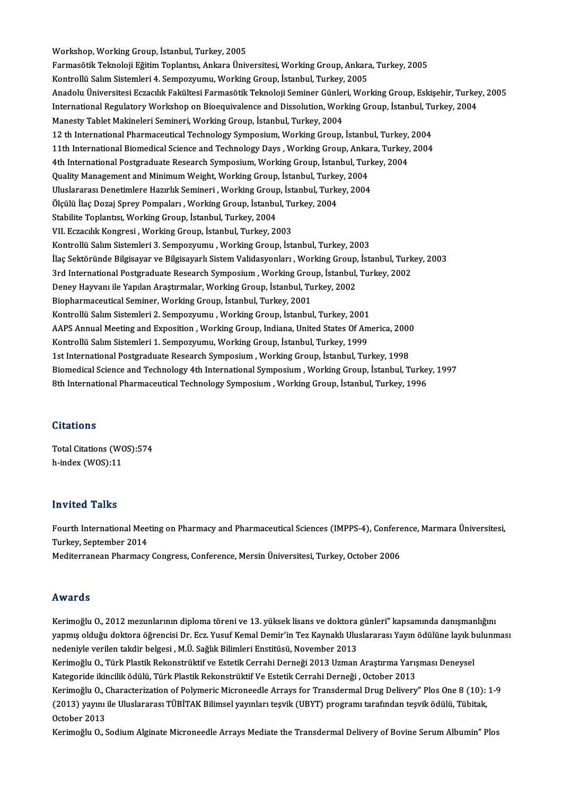Workshop, Working Group, İstanbul, Turkey, 2005 FarmasötikTeknolojiEğitimToplantısı,AnkaraÜniversitesi,WorkingGroup,Ankara,Turkey,2005 Kontrollü Salım Sistemleri 4. Sempozyumu, Working Group, İstanbul, Turkey, 2005 Farmasötik Teknoloji Eğitim Toplantısı, Ankara Üniversitesi, Working Group, Ankara, Turkey, 2005<br>Kontrollü Salım Sistemleri 4. Sempozyumu, Working Group, İstanbul, Turkey, 2005<br>Anadolu Üniversitesi Eczacılık Fakültesi Farm Kontrollü Salım Sistemleri 4. Sempozyumu, Working Group, İstanbul, Turkey, 2005<br>Anadolu Üniversitesi Eczacılık Fakültesi Farmasötik Teknoloji Seminer Günleri, Working Group, Eskişehir, Turke<br>International Regulatory Worksh Anadolu Üniversitesi Eczacılık Fakültesi Farmasötik Teknoloji Seminer Günler<br>International Regulatory Workshop on Bioequivalence and Dissolution, Wor<br>Manesty Tablet Makineleri Semineri, Working Group, İstanbul, Turkey, 200 International Regulatory Workshop on Bioequivalence and Dissolution, Working Group, İstanbul, Turkey, 2004<br>Manesty Tablet Makineleri Semineri, Working Group, İstanbul, Turkey, 2004 11th International Biomedical Science and Technology Days , Working Group, Ankara, Turkey, 2004<br>4th International Postgraduate Research Symposium, Working Group, İstanbul, Turkey, 2004 12 th International Pharmaceutical Technology Symposium, Working Group, İstanbul, Turkey, 2004 11th International Biomedical Science and Technology Days , Working Group, Anka<br>4th International Postgraduate Research Symposium, Working Group, İstanbul, Tur<br>Quality Management and Minimum Weight, Working Group, İstanbul 4th International Postgraduate Research Symposium, Working Group, İstanbul, Turk<br>Quality Management and Minimum Weight, Working Group, İstanbul, Turkey, 2004<br>Uluslararası Denetimlere Hazırlık Semineri , Working Group, İsta Quality Management and Minimum Weight, Working Group, İstanbul, Turke<br>Uluslararası Denetimlere Hazırlık Semineri , Working Group, İstanbul, Turke<br>Ölçülü İlaç Dozaj Sprey Pompaları , Working Group, İstanbul, Turkey, 2004<br>St Uluslararası Denetimlere Hazırlık Semineri , Working Group, İstanbul, Turkey, 2004<br>Ölçülü İlaç Dozaj Sprey Pompaları , Working Group, İstanbul, Turkey, 2004<br>Stabilite Toplantısı, Working Group, İstanbul, Turkey, 2004 VII. Eczacılık Kongresi, Working Group, İstanbul, Turkey, 2003 Kontrollü Salım Sistemleri 3. Sempozyumu , Working Group, İstanbul, Turkey, 2003 VII. Eczacılık Kongresi , Working Group, İstanbul, Turkey, 2003<br>Kontrollü Salım Sistemleri 3. Sempozyumu , Working Group, İstanbul, Turkey, 2003<br>İlaç Sektöründe Bilgisayar ve Bilgisayarlı Sistem Validasyonları , Working Gr Kontrollü Salım Sistemleri 3. Sempozyumu , Working Group, İstanbul, Turkey, 2003<br>İlaç Sektöründe Bilgisayar ve Bilgisayarlı Sistem Validasyonları , Working Group, İstanbul, Turk<br>3rd International Postgraduate Research Symp İlaç Sektöründe Bilgisayar ve Bilgisayarlı Sistem Validasyonları , Working Group,<br>3rd International Postgraduate Research Symposium , Working Group, İstanbul,<br>Deney Hayvanı ile Yapılan Araştırmalar, Working Group, İstanbul 3rd International Postgraduate Research Symposium , Working Group, İstanbul, Turkey, 2002<br>Deney Hayvanı ile Yapılan Araştırmalar, Working Group, İstanbul, Turkey, 2002<br>Biopharmaceutical Seminer, Working Group, İstanbul, Tu Deney Hayvanı ile Yapılan Araştırmalar, Working Group, İstanbul, Turkey, 2002<br>Biopharmaceutical Seminer, Working Group, İstanbul, Turkey, 2001<br>Kontrollü Salım Sistemleri 2. Sempozyumu , Working Group, İstanbul, Turkey, 200 AAPS Annual Meeting and Exposition , Working Group, Indiana, United States Of America, 2000<br>Kontrollü Salım Sistemleri 1. Sempozyumu, Working Group, İstanbul, Turkey, 1999 Kontrollü Salım Sistemleri 2. Sempozyumu , Working Group, İstanbul, Turkey, 2001<br>AAPS Annual Meeting and Exposition , Working Group, Indiana, United States Of Am<br>Kontrollü Salım Sistemleri 1. Sempozyumu, Working Group, İst AAPS Annual Meeting and Exposition , Working Group, Indiana, United States Of America, 2000<br>Kontrollü Salım Sistemleri 1. Sempozyumu, Working Group, İstanbul, Turkey, 1999<br>1st International Postgraduate Research Symposium Biomedical Science and Technology 4th International Symposium , Working Group, İstanbul, Turkey, 1997<br>8th International Pharmaceutical Technology Symposium , Working Group, İstanbul, Turkey, 1996 1st International Postgraduate Research Symposium , Working Group, İstanbul, Turkey, 1998<br>Biomedical Science and Technology 4th International Symposium , Working Group, İstanbul, Turkey<br>8th International Pharmaceutical Tec

### **Citations**

Citations<br>Total Citations (WOS):574<br>h index (WOS):11 **Theory**<br>Total Citations (WO<br>h-index (WOS):11 h-index (WOS):11<br>Invited Talks

**Invited Talks**<br>Fourth International Meeting on Pharmacy and Pharmaceutical Sciences (IMPPS-4), Conference, Marmara Üniversitesi,<br>Turkey, Sontember 2014 moved Tame<br>Fourth International Mee<br>Turkey, September 2014<br>Moditorranean Bharmagy Fourth International Meeting on Pharmacy and Pharmaceutical Sciences (IMPPS-4), Confere<br>Turkey, September 2014<br>Mediterranean Pharmacy Congress, Conference, Mersin Üniversitesi, Turkey, October 2006 Mediterranean Pharmacy Congress, Conference, Mersin Üniversitesi, Turkey, October 2006<br>Awards

Kerimoğlu O., 2012 mezunlarının diploma töreni ve 13. yüksek lisans ve doktora günleri" kapsamında danışmanlığını ravarası<br>Kerimoğlu 0., 2012 mezunlarının diploma töreni ve 13. yüksek lisans ve doktora günleri" kapsamında danışmanlığını<br>Yapmış olduğu doktora öğrencisi Dr. Ecz. Yusuf Kemal Demir'in Tez Kaynaklı Uluslararası Yayın ödülü Kerimoğlu O., 2012 mezunlarının diploma töreni ve 13. yüksek lisans ve doktora<br>yapmış olduğu doktora öğrencisi Dr. Ecz. Yusuf Kemal Demir'in Tez Kaynaklı Ulu:<br>nedeniyle verilen takdir belgesi , M.Ü. Sağlık Bilimleri Enstit yapmış olduğu doktora öğrencisi Dr. Ecz. Yusuf Kemal Demir'in Tez Kaynaklı Uluslararası Yayın ödülüne layık b<br>nedeniyle verilen takdir belgesi , M.Ü. Sağlık Bilimleri Enstitüsü, November 2013<br>Kerimoğlu O., Türk Plastik Rek

nedeniyle verilen takdir belgesi , M.Ü. Sağlık Bilimleri Enstitüsü, November 2013<br>Kerimoğlu O., Türk Plastik Rekonstrüktif ve Estetik Cerrahi Derneği 2013 Uzman Araştırma Yarışması Deneysel<br>Kategoride ikincilik ödülü, Türk Kerimoğlu O., Türk Plastik Rekonstrüktif ve Estetik Cerrahi Derneği 2013 Uzman Araştırma Yarışması Deneysel<br>Kategoride ikincilik ödülü, Türk Plastik Rekonstrüktif Ve Estetik Cerrahi Derneği , October 2013<br>Kerimoğlu O., Cha

Kategoride ikincilik ödülü, Türk Plastik Rekonstrüktif Ve Estetik Cerrahi Derneği , October 2013<br>Kerimoğlu O., Characterization of Polymeric Microneedle Arrays for Transdermal Drug Delivery" Plos One 8 (10):<br>(2013) yayını Kerimoğlu O., (<br>(2013) yayını<br>October 2013<br>Kerimoğlu O. ( (2013) yayını ile Uluslararası TÜBİTAK Bilimsel yayınları teşvik (UBYT) programı tarafından teşvik ödülü, Tübitak,<br>October 2013<br>Kerimoğlu O., Sodium Alginate Microneedle Arrays Mediate the Transdermal Delivery of Bovine Se